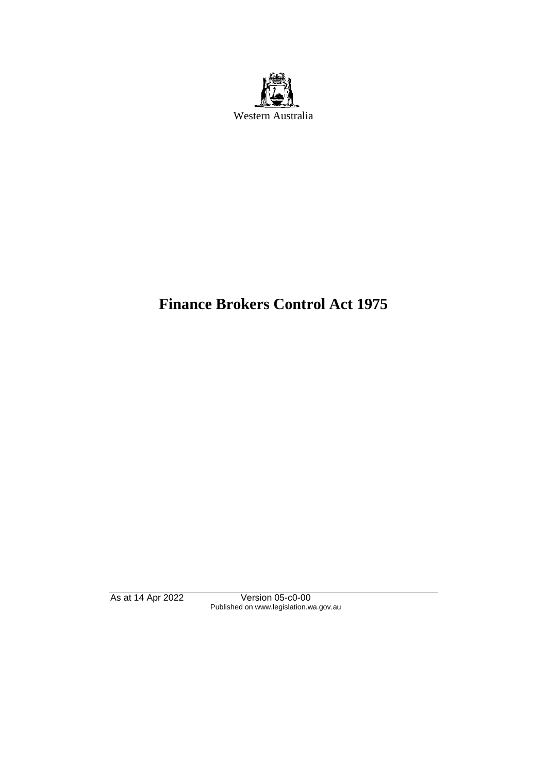

# **Finance Brokers Control Act 1975**

As at 14 Apr 2022 Version 05-c0-00 Published on www.legislation.wa.gov.au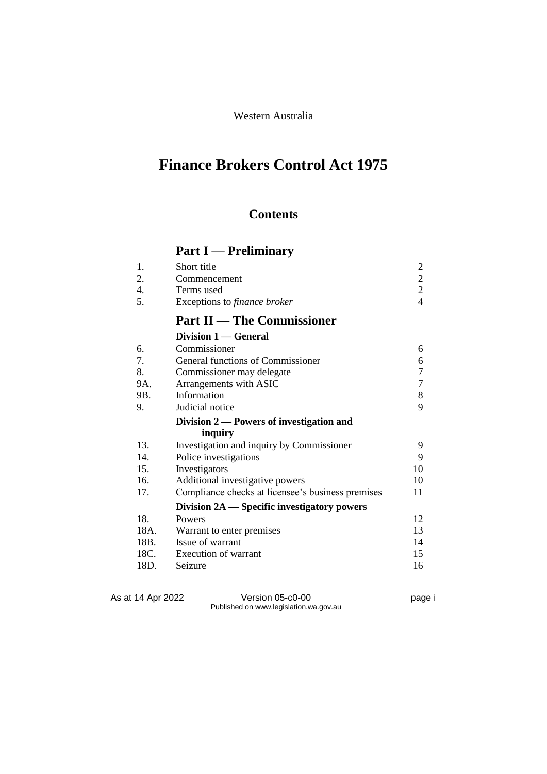# Western Australia

# **Finance Brokers Control Act 1975**

# **Contents**

# **Part I — Preliminary**

| 1.   | Short title                                       | $\overline{c}$   |
|------|---------------------------------------------------|------------------|
| 2.   | Commencement                                      | $\overline{c}$   |
| 4.   | Terms used                                        | $\overline{2}$   |
| 5.   | Exceptions to finance broker                      | $\overline{4}$   |
|      | <b>Part II — The Commissioner</b>                 |                  |
|      | Division 1 — General                              |                  |
| 6.   | Commissioner                                      | 6                |
| 7.   | General functions of Commissioner                 | 6                |
| 8.   | Commissioner may delegate                         | $\boldsymbol{7}$ |
| 9A.  | Arrangements with ASIC                            | $\boldsymbol{7}$ |
| 9B.  | Information                                       | $8\,$            |
| 9.   | Judicial notice                                   | 9                |
|      | Division $2$ — Powers of investigation and        |                  |
|      | inquiry                                           |                  |
| 13.  | Investigation and inquiry by Commissioner         | 9                |
| 14.  | Police investigations                             | 9                |
| 15.  | Investigators                                     | 10               |
| 16.  | Additional investigative powers                   | 10               |
| 17.  | Compliance checks at licensee's business premises | 11               |
|      | Division 2A — Specific investigatory powers       |                  |
| 18.  | Powers                                            | 12               |
| 18A. | Warrant to enter premises                         | 13               |
| 18B. | Issue of warrant                                  | 14               |
| 18C. | Execution of warrant                              | 15               |
| 18D. | Seizure                                           | 16               |

As at 14 Apr 2022 Version 05-c0-00 page i Published on www.legislation.wa.gov.au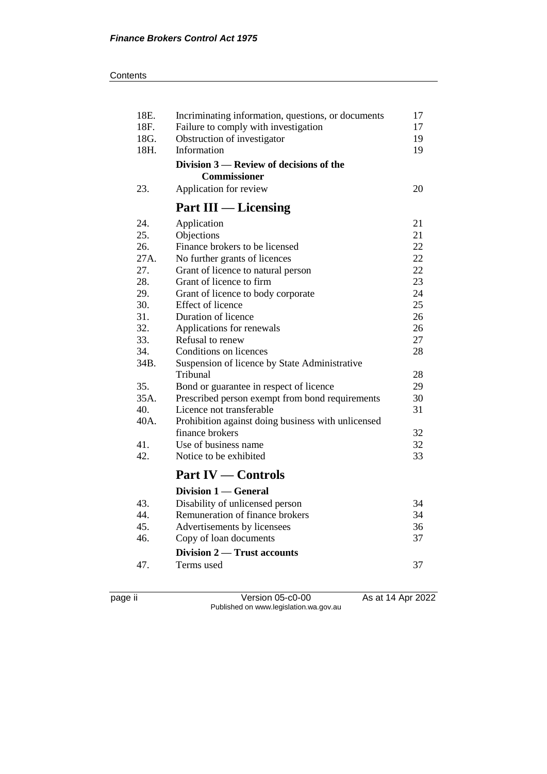| 18E.<br>18F. | Incriminating information, questions, or documents<br>Failure to comply with investigation | 17<br>17 |
|--------------|--------------------------------------------------------------------------------------------|----------|
| 18G.         | Obstruction of investigator                                                                | 19       |
| 18H.         | Information                                                                                | 19       |
|              | Division 3 — Review of decisions of the<br><b>Commissioner</b>                             |          |
| 23.          | Application for review                                                                     | 20       |
|              | <b>Part III</b> — Licensing                                                                |          |
| 24.          | Application                                                                                | 21       |
| 25.          | Objections                                                                                 | 21       |
| 26.          | Finance brokers to be licensed                                                             | 22       |
| 27A.         | No further grants of licences                                                              | 22       |
| 27.          | Grant of licence to natural person                                                         | 22       |
| 28.          | Grant of licence to firm                                                                   | 23       |
| 29.          | Grant of licence to body corporate                                                         | 24       |
| 30.          | Effect of licence                                                                          | 25       |
| 31.          | Duration of licence                                                                        | 26       |
| 32.          | Applications for renewals                                                                  | 26       |
| 33.          | Refusal to renew                                                                           | 27       |
| 34.          | Conditions on licences                                                                     | 28       |
| 34B.         | Suspension of licence by State Administrative                                              |          |
|              | Tribunal                                                                                   | 28       |
| 35.          | Bond or guarantee in respect of licence                                                    | 29       |
| 35A.         | Prescribed person exempt from bond requirements                                            | 30       |
| 40.          | Licence not transferable                                                                   | 31       |
| 40A.         | Prohibition against doing business with unlicensed                                         |          |
|              | finance brokers                                                                            | 32       |
| 41.          | Use of business name                                                                       | 32       |
| 42.          | Notice to be exhibited                                                                     | 33       |
|              | <b>Part IV — Controls</b>                                                                  |          |
|              | Division 1 — General                                                                       |          |
| 43.          | Disability of unlicensed person                                                            | 34       |
| 44.          | Remuneration of finance brokers                                                            | 34       |
| 45.          | Advertisements by licensees                                                                | 36       |
| 46.          | Copy of loan documents                                                                     | 37       |
|              | Division 2 — Trust accounts                                                                |          |
| 47.          | Terms used                                                                                 | 37       |
|              |                                                                                            |          |

page ii Version 05-c0-00 As at 14 Apr 2022 Published on www.legislation.wa.gov.au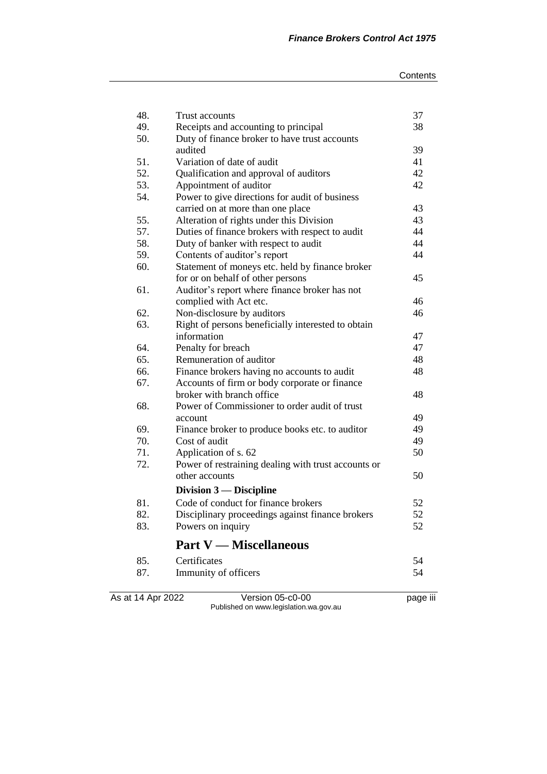| As at 14 Apr 2022 | Version 05-c0-00                                                 | page iii |
|-------------------|------------------------------------------------------------------|----------|
| 87.               | Immunity of officers                                             | 54       |
| 85.               | Certificates                                                     | 54       |
|                   | <b>Part V</b> — Miscellaneous                                    |          |
| 83.               | Powers on inquiry                                                | 52       |
| 82.               | Disciplinary proceedings against finance brokers                 | 52       |
| 81.               | Code of conduct for finance brokers                              | 52       |
|                   | Division $3$ — Discipline                                        |          |
|                   | other accounts                                                   | 50       |
| 72.               | Power of restraining dealing with trust accounts or              |          |
| 71.               | Application of s. 62                                             | 50       |
|                   |                                                                  |          |
| 69.<br>70.        | Finance broker to produce books etc. to auditor<br>Cost of audit | 49<br>49 |
|                   | account                                                          | 49       |
| 68.               | Power of Commissioner to order audit of trust                    |          |
|                   | broker with branch office                                        | 48       |
| 67.               | Accounts of firm or body corporate or finance                    |          |
| 66.               | Finance brokers having no accounts to audit                      | 48       |
| 65.               | Remuneration of auditor                                          | 48       |
| 64.               | Penalty for breach                                               | 47       |
|                   | information                                                      | 47       |
| 63.               | Right of persons beneficially interested to obtain               |          |
| 62.               | Non-disclosure by auditors                                       | 46       |
|                   | complied with Act etc.                                           | 46       |
| 61.               | Auditor's report where finance broker has not                    |          |
|                   | for or on behalf of other persons                                | 45       |
| 60.               | Statement of moneys etc. held by finance broker                  |          |
| 59.               | Contents of auditor's report                                     | 44       |
| 58.               | Duty of banker with respect to audit                             | 44       |
| 57.               | Duties of finance brokers with respect to audit                  | 44       |
| 55.               | Alteration of rights under this Division                         | 43       |
|                   | carried on at more than one place                                | 43       |
| 54.               | Power to give directions for audit of business                   |          |
| 53.               | Appointment of auditor                                           | 42       |
| 52.               | Qualification and approval of auditors                           | 42       |
| 51.               | Variation of date of audit                                       | 41       |
|                   | audited                                                          | 39       |
| 50.               | Duty of finance broker to have trust accounts                    |          |
| 49.               | Receipts and accounting to principal                             | 38       |
| 48.               | Trust accounts                                                   | 37       |
|                   |                                                                  |          |

Published on www.legislation.wa.gov.au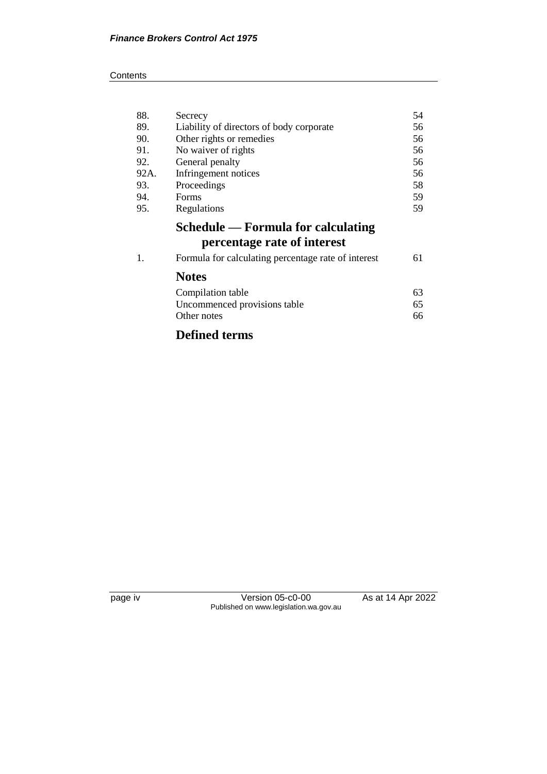#### **Contents**

| 88.  | Secrecy                                             | 54 |
|------|-----------------------------------------------------|----|
| 89.  | Liability of directors of body corporate            | 56 |
| 90.  | Other rights or remedies                            | 56 |
| 91.  | No waiver of rights                                 | 56 |
| 92.  | General penalty                                     | 56 |
| 92A. | Infringement notices                                | 56 |
| 93.  | Proceedings                                         | 58 |
| 94.  | Forms                                               | 59 |
| 95.  | Regulations                                         | 59 |
|      | Schedule — Formula for calculating                  |    |
|      | percentage rate of interest                         |    |
| 1.   | Formula for calculating percentage rate of interest | 61 |
|      | <b>Notes</b>                                        |    |
|      | Compilation table                                   | 63 |
|      | Uncommenced provisions table                        | 65 |
|      | Other notes                                         | 66 |
|      | <b>Defined terms</b>                                |    |

page iv Version 05-c0-00 As at 14 Apr 2022 Published on www.legislation.wa.gov.au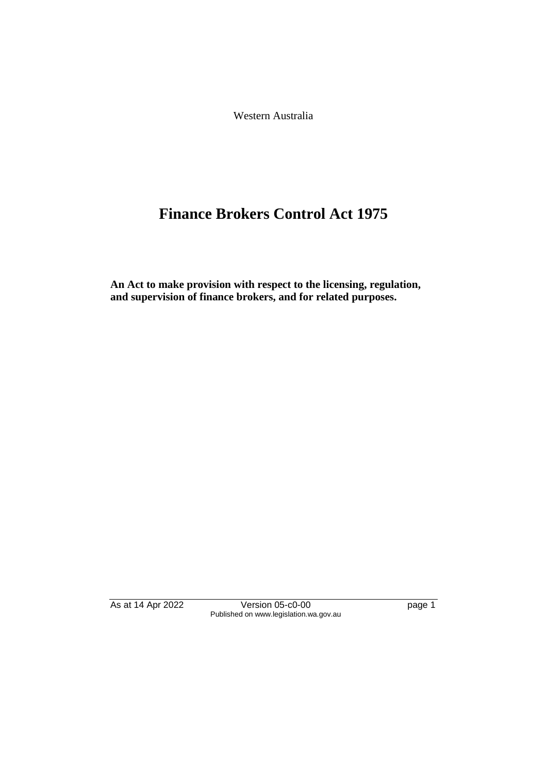Western Australia

# **Finance Brokers Control Act 1975**

**An Act to make provision with respect to the licensing, regulation, and supervision of finance brokers, and for related purposes.** 

As at 14 Apr 2022 Version 05-c0-00 Page 1 Published on www.legislation.wa.gov.au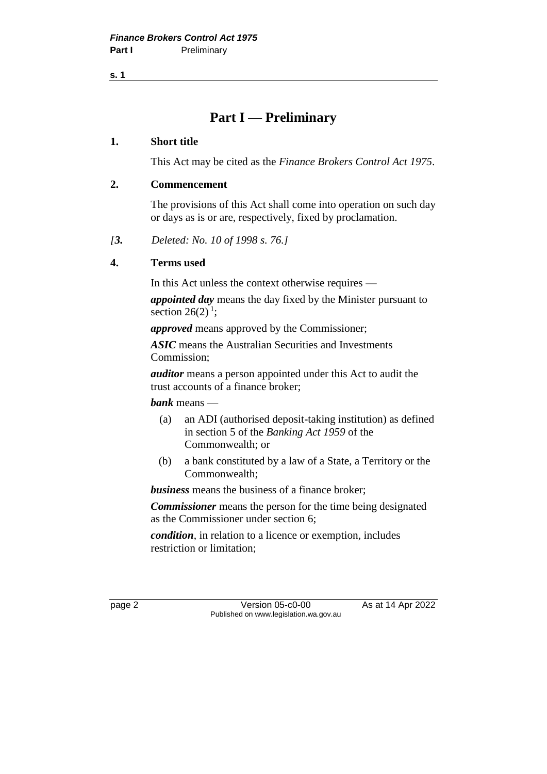**s. 1**

# **Part I — Preliminary**

#### **1. Short title**

This Act may be cited as the *Finance Brokers Control Act 1975*.

#### **2. Commencement**

The provisions of this Act shall come into operation on such day or days as is or are, respectively, fixed by proclamation.

*[3. Deleted: No. 10 of 1998 s. 76.]*

# **4. Terms used**

In this Act unless the context otherwise requires —

*appointed day* means the day fixed by the Minister pursuant to section  $26(2)^1$ ;

*approved* means approved by the Commissioner;

*ASIC* means the Australian Securities and Investments Commission;

*auditor* means a person appointed under this Act to audit the trust accounts of a finance broker;

*bank* means —

- (a) an ADI (authorised deposit-taking institution) as defined in section 5 of the *Banking Act 1959* of the Commonwealth; or
- (b) a bank constituted by a law of a State, a Territory or the Commonwealth;

*business* means the business of a finance broker;

*Commissioner* means the person for the time being designated as the Commissioner under section 6;

*condition*, in relation to a licence or exemption, includes restriction or limitation;

page 2 Version 05-c0-00 As at 14 Apr 2022 Published on www.legislation.wa.gov.au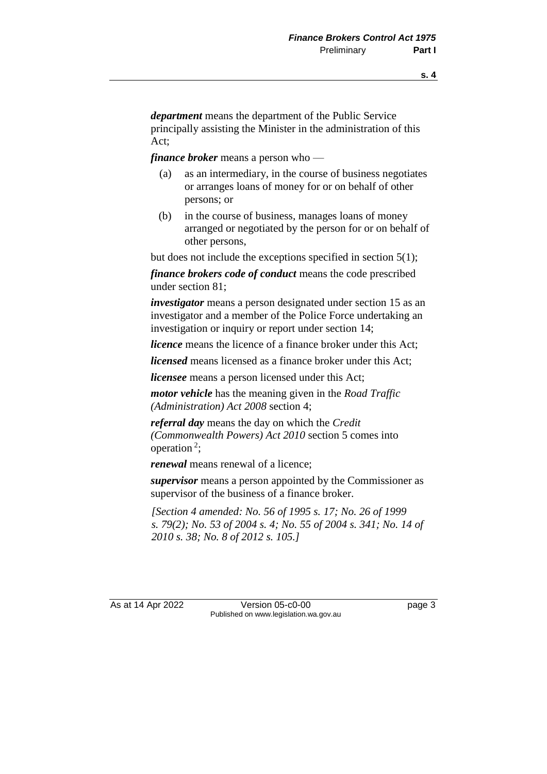*department* means the department of the Public Service principally assisting the Minister in the administration of this Act;

*finance broker* means a person who —

- (a) as an intermediary, in the course of business negotiates or arranges loans of money for or on behalf of other persons; or
- (b) in the course of business, manages loans of money arranged or negotiated by the person for or on behalf of other persons,

but does not include the exceptions specified in section 5(1);

*finance brokers code of conduct* means the code prescribed under section 81;

*investigator* means a person designated under section 15 as an investigator and a member of the Police Force undertaking an investigation or inquiry or report under section 14;

*licence* means the licence of a finance broker under this Act;

*licensed* means licensed as a finance broker under this Act;

*licensee* means a person licensed under this Act;

*motor vehicle* has the meaning given in the *Road Traffic (Administration) Act 2008* section 4;

*referral day* means the day on which the *Credit (Commonwealth Powers) Act 2010* section 5 comes into operation<sup>2</sup>;

*renewal* means renewal of a licence;

*supervisor* means a person appointed by the Commissioner as supervisor of the business of a finance broker.

*[Section 4 amended: No. 56 of 1995 s. 17; No. 26 of 1999 s. 79(2); No. 53 of 2004 s. 4; No. 55 of 2004 s. 341; No. 14 of 2010 s. 38; No. 8 of 2012 s. 105.]* 

As at 14 Apr 2022 Version 05-c0-00 Page 3 Published on www.legislation.wa.gov.au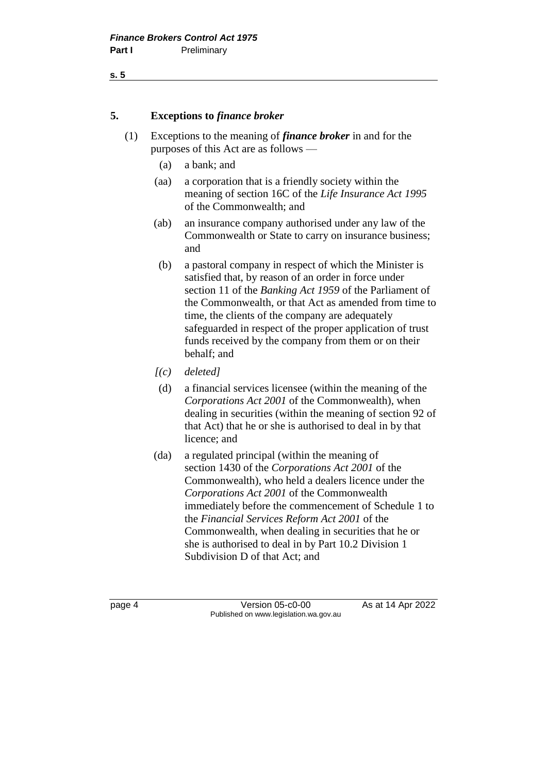#### **s. 5**

#### **5. Exceptions to** *finance broker*

- (1) Exceptions to the meaning of *finance broker* in and for the purposes of this Act are as follows —
	- (a) a bank; and
	- (aa) a corporation that is a friendly society within the meaning of section 16C of the *Life Insurance Act 1995* of the Commonwealth; and
	- (ab) an insurance company authorised under any law of the Commonwealth or State to carry on insurance business; and
	- (b) a pastoral company in respect of which the Minister is satisfied that, by reason of an order in force under section 11 of the *Banking Act 1959* of the Parliament of the Commonwealth, or that Act as amended from time to time, the clients of the company are adequately safeguarded in respect of the proper application of trust funds received by the company from them or on their behalf; and
	- *[(c) deleted]*
	- (d) a financial services licensee (within the meaning of the *Corporations Act 2001* of the Commonwealth), when dealing in securities (within the meaning of section 92 of that Act) that he or she is authorised to deal in by that licence; and
	- (da) a regulated principal (within the meaning of section 1430 of the *Corporations Act 2001* of the Commonwealth), who held a dealers licence under the *Corporations Act 2001* of the Commonwealth immediately before the commencement of Schedule 1 to the *Financial Services Reform Act 2001* of the Commonwealth, when dealing in securities that he or she is authorised to deal in by Part 10.2 Division 1 Subdivision D of that Act; and

page 4 Version 05-c0-00 As at 14 Apr 2022 Published on www.legislation.wa.gov.au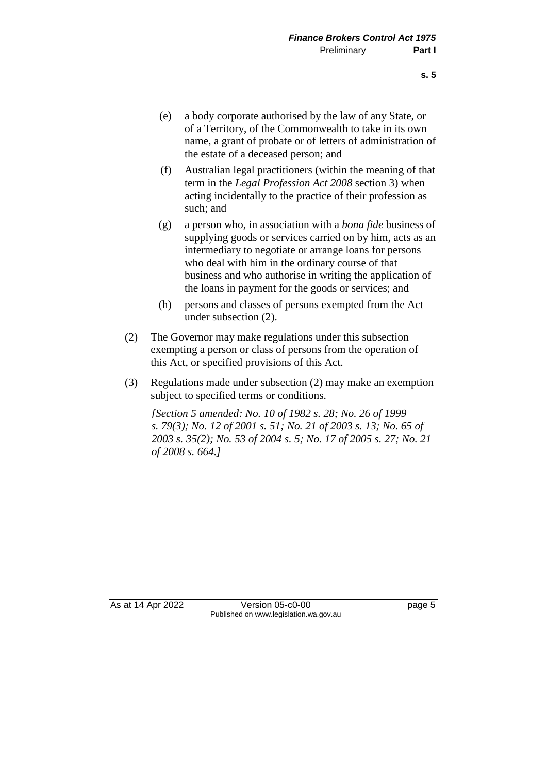- (e) a body corporate authorised by the law of any State, or of a Territory, of the Commonwealth to take in its own name, a grant of probate or of letters of administration of the estate of a deceased person; and
- (f) Australian legal practitioners (within the meaning of that term in the *Legal Profession Act 2008* section 3) when acting incidentally to the practice of their profession as such; and
- (g) a person who, in association with a *bona fide* business of supplying goods or services carried on by him, acts as an intermediary to negotiate or arrange loans for persons who deal with him in the ordinary course of that business and who authorise in writing the application of the loans in payment for the goods or services; and
- (h) persons and classes of persons exempted from the Act under subsection (2).
- (2) The Governor may make regulations under this subsection exempting a person or class of persons from the operation of this Act, or specified provisions of this Act.
- (3) Regulations made under subsection (2) may make an exemption subject to specified terms or conditions.

*[Section 5 amended: No. 10 of 1982 s. 28; No. 26 of 1999 s. 79(3); No. 12 of 2001 s. 51; No. 21 of 2003 s. 13; No. 65 of 2003 s. 35(2); No. 53 of 2004 s. 5; No. 17 of 2005 s. 27; No. 21 of 2008 s. 664.]* 

As at 14 Apr 2022 Version 05-c0-00 Page 5 Published on www.legislation.wa.gov.au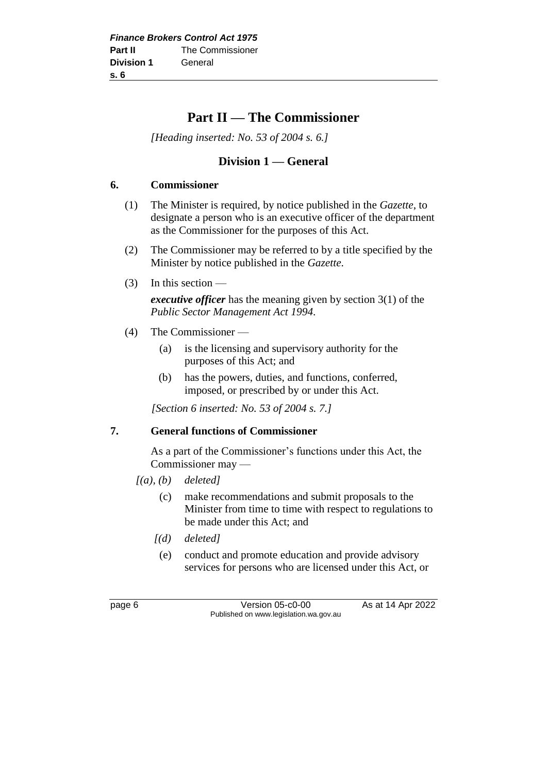# **Part II — The Commissioner**

*[Heading inserted: No. 53 of 2004 s. 6.]* 

# **Division 1 — General**

#### **6. Commissioner**

- (1) The Minister is required, by notice published in the *Gazette*, to designate a person who is an executive officer of the department as the Commissioner for the purposes of this Act.
- (2) The Commissioner may be referred to by a title specified by the Minister by notice published in the *Gazette*.
- (3) In this section —

*executive officer* has the meaning given by section 3(1) of the *Public Sector Management Act 1994*.

- (4) The Commissioner
	- (a) is the licensing and supervisory authority for the purposes of this Act; and
	- (b) has the powers, duties, and functions, conferred, imposed, or prescribed by or under this Act.

*[Section 6 inserted: No. 53 of 2004 s. 7.]* 

#### **7. General functions of Commissioner**

As a part of the Commissioner's functions under this Act, the Commissioner may —

- *[(a), (b) deleted]*
	- (c) make recommendations and submit proposals to the Minister from time to time with respect to regulations to be made under this Act; and
	- *[(d) deleted]*
	- (e) conduct and promote education and provide advisory services for persons who are licensed under this Act, or

page 6 **Version 05-c0-00** As at 14 Apr 2022 Published on www.legislation.wa.gov.au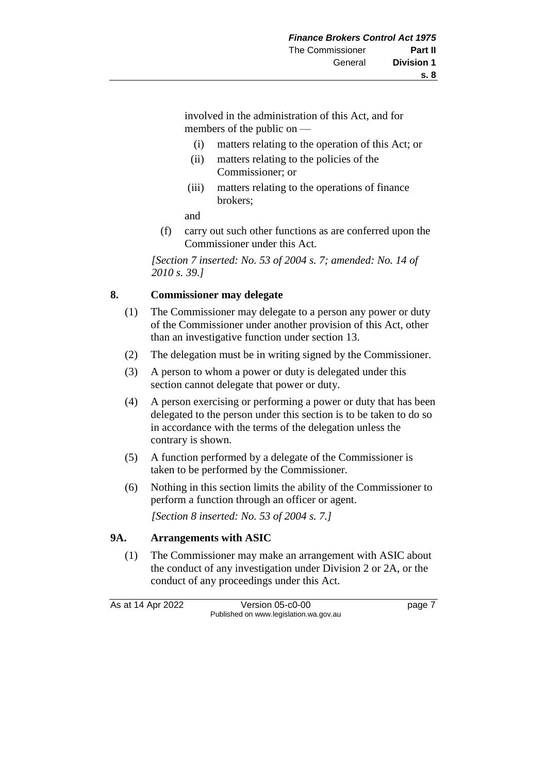involved in the administration of this Act, and for members of the public on —

- (i) matters relating to the operation of this Act; or
- (ii) matters relating to the policies of the Commissioner; or
- (iii) matters relating to the operations of finance brokers;
- and
- (f) carry out such other functions as are conferred upon the Commissioner under this Act.

*[Section 7 inserted: No. 53 of 2004 s. 7; amended: No. 14 of 2010 s. 39.]* 

#### **8. Commissioner may delegate**

- (1) The Commissioner may delegate to a person any power or duty of the Commissioner under another provision of this Act, other than an investigative function under section 13.
- (2) The delegation must be in writing signed by the Commissioner.
- (3) A person to whom a power or duty is delegated under this section cannot delegate that power or duty.
- (4) A person exercising or performing a power or duty that has been delegated to the person under this section is to be taken to do so in accordance with the terms of the delegation unless the contrary is shown.
- (5) A function performed by a delegate of the Commissioner is taken to be performed by the Commissioner.
- (6) Nothing in this section limits the ability of the Commissioner to perform a function through an officer or agent. *[Section 8 inserted: No. 53 of 2004 s. 7.]*

# **9A. Arrangements with ASIC**

(1) The Commissioner may make an arrangement with ASIC about the conduct of any investigation under Division 2 or 2A, or the conduct of any proceedings under this Act.

As at 14 Apr 2022 Version 05-c0-00 Page 7 Published on www.legislation.wa.gov.au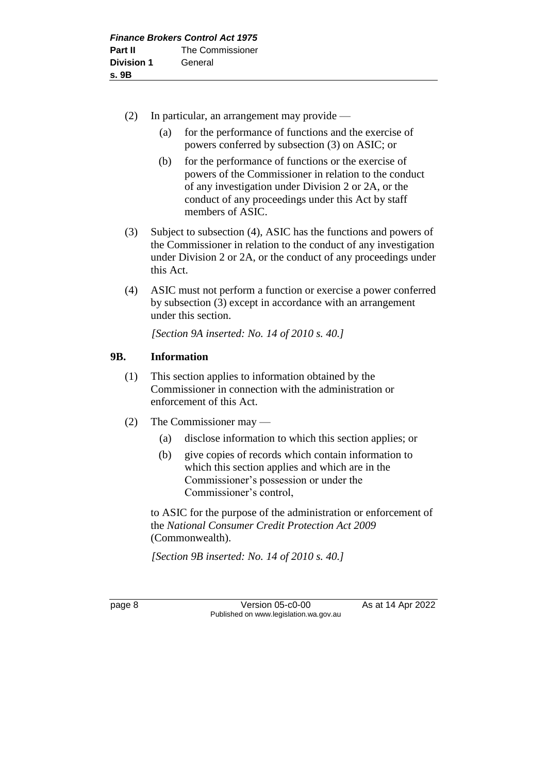- (2) In particular, an arrangement may provide
	- (a) for the performance of functions and the exercise of powers conferred by subsection (3) on ASIC; or
	- (b) for the performance of functions or the exercise of powers of the Commissioner in relation to the conduct of any investigation under Division 2 or 2A, or the conduct of any proceedings under this Act by staff members of ASIC.
- (3) Subject to subsection (4), ASIC has the functions and powers of the Commissioner in relation to the conduct of any investigation under Division 2 or 2A, or the conduct of any proceedings under this Act.
- (4) ASIC must not perform a function or exercise a power conferred by subsection (3) except in accordance with an arrangement under this section.

*[Section 9A inserted: No. 14 of 2010 s. 40.]*

# **9B. Information**

- (1) This section applies to information obtained by the Commissioner in connection with the administration or enforcement of this Act.
- (2) The Commissioner may
	- (a) disclose information to which this section applies; or
	- (b) give copies of records which contain information to which this section applies and which are in the Commissioner's possession or under the Commissioner's control,

to ASIC for the purpose of the administration or enforcement of the *National Consumer Credit Protection Act 2009*  (Commonwealth).

*[Section 9B inserted: No. 14 of 2010 s. 40.]*

page 8 Version 05-c0-00 As at 14 Apr 2022 Published on www.legislation.wa.gov.au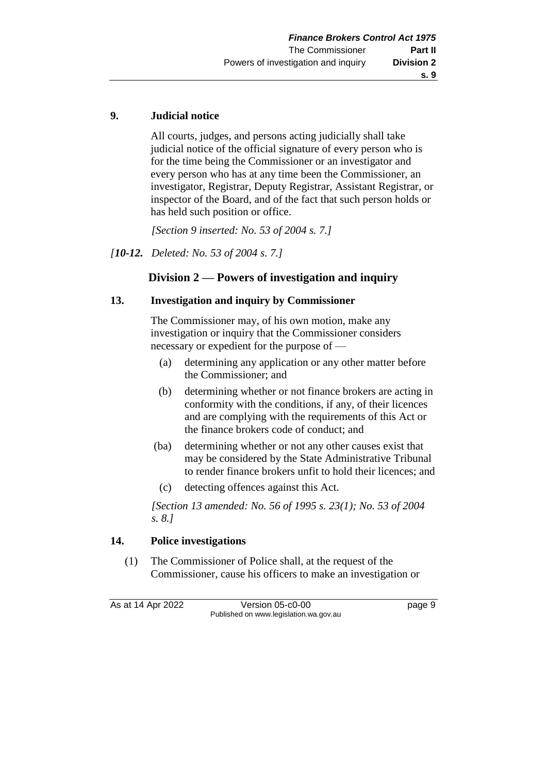# **9. Judicial notice**

All courts, judges, and persons acting judicially shall take judicial notice of the official signature of every person who is for the time being the Commissioner or an investigator and every person who has at any time been the Commissioner, an investigator, Registrar, Deputy Registrar, Assistant Registrar, or inspector of the Board, and of the fact that such person holds or has held such position or office.

*[Section 9 inserted: No. 53 of 2004 s. 7.]* 

*[10-12. Deleted: No. 53 of 2004 s. 7.]* 

# **Division 2 — Powers of investigation and inquiry**

#### **13. Investigation and inquiry by Commissioner**

The Commissioner may, of his own motion, make any investigation or inquiry that the Commissioner considers necessary or expedient for the purpose of —

- (a) determining any application or any other matter before the Commissioner; and
- (b) determining whether or not finance brokers are acting in conformity with the conditions, if any, of their licences and are complying with the requirements of this Act or the finance brokers code of conduct; and
- (ba) determining whether or not any other causes exist that may be considered by the State Administrative Tribunal to render finance brokers unfit to hold their licences; and
	- (c) detecting offences against this Act.

*[Section 13 amended: No. 56 of 1995 s. 23(1); No. 53 of 2004 s. 8.]* 

# **14. Police investigations**

(1) The Commissioner of Police shall, at the request of the Commissioner, cause his officers to make an investigation or

As at 14 Apr 2022 Version 05-c0-00 Page 9 Published on www.legislation.wa.gov.au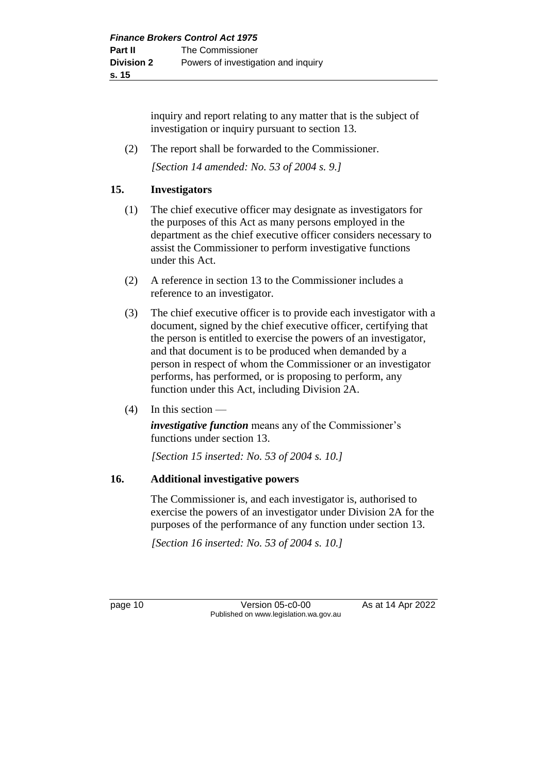inquiry and report relating to any matter that is the subject of investigation or inquiry pursuant to section 13.

(2) The report shall be forwarded to the Commissioner.

*[Section 14 amended: No. 53 of 2004 s. 9.]* 

# **15. Investigators**

- (1) The chief executive officer may designate as investigators for the purposes of this Act as many persons employed in the department as the chief executive officer considers necessary to assist the Commissioner to perform investigative functions under this Act.
- (2) A reference in section 13 to the Commissioner includes a reference to an investigator.
- (3) The chief executive officer is to provide each investigator with a document, signed by the chief executive officer, certifying that the person is entitled to exercise the powers of an investigator, and that document is to be produced when demanded by a person in respect of whom the Commissioner or an investigator performs, has performed, or is proposing to perform, any function under this Act, including Division 2A.
- $(4)$  In this section —

*investigative function* means any of the Commissioner's functions under section 13.

*[Section 15 inserted: No. 53 of 2004 s. 10.]* 

# **16. Additional investigative powers**

The Commissioner is, and each investigator is, authorised to exercise the powers of an investigator under Division 2A for the purposes of the performance of any function under section 13.

*[Section 16 inserted: No. 53 of 2004 s. 10.]* 

page 10 Version 05-c0-00 As at 14 Apr 2022 Published on www.legislation.wa.gov.au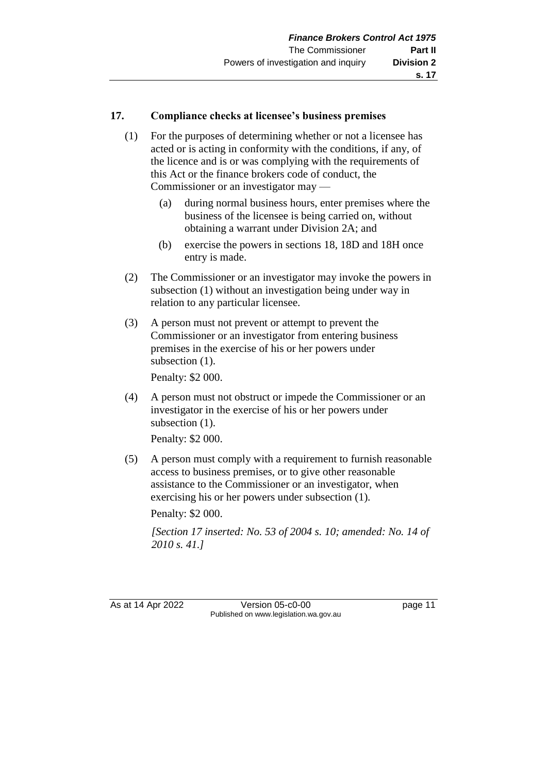#### **17. Compliance checks at licensee's business premises**

- (1) For the purposes of determining whether or not a licensee has acted or is acting in conformity with the conditions, if any, of the licence and is or was complying with the requirements of this Act or the finance brokers code of conduct, the Commissioner or an investigator may —
	- (a) during normal business hours, enter premises where the business of the licensee is being carried on, without obtaining a warrant under Division 2A; and
	- (b) exercise the powers in sections 18, 18D and 18H once entry is made.
- (2) The Commissioner or an investigator may invoke the powers in subsection (1) without an investigation being under way in relation to any particular licensee.
- (3) A person must not prevent or attempt to prevent the Commissioner or an investigator from entering business premises in the exercise of his or her powers under subsection  $(1)$ .

Penalty: \$2 000.

(4) A person must not obstruct or impede the Commissioner or an investigator in the exercise of his or her powers under subsection  $(1)$ .

Penalty: \$2 000.

(5) A person must comply with a requirement to furnish reasonable access to business premises, or to give other reasonable assistance to the Commissioner or an investigator, when exercising his or her powers under subsection (1).

Penalty: \$2 000.

*[Section 17 inserted: No. 53 of 2004 s. 10; amended: No. 14 of 2010 s. 41.]*

As at 14 Apr 2022 Version 05-c0-00 page 11 Published on www.legislation.wa.gov.au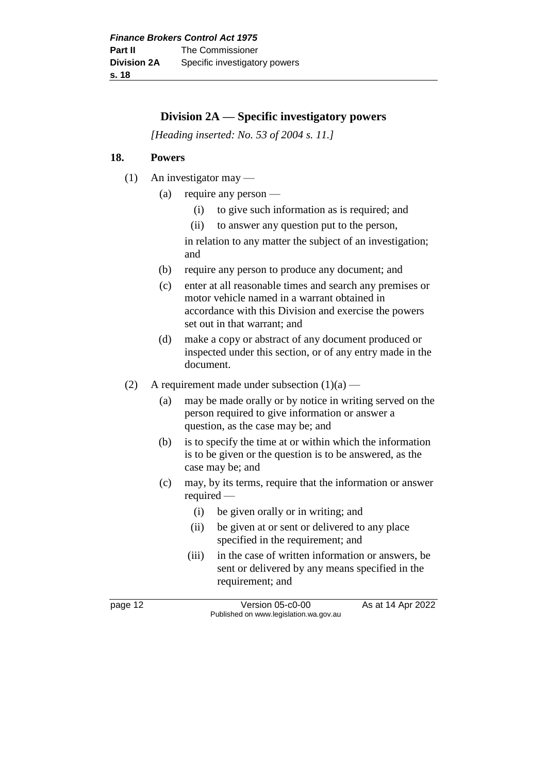# **Division 2A — Specific investigatory powers**

*[Heading inserted: No. 53 of 2004 s. 11.]* 

# **18. Powers**

- (1) An investigator may
	- (a) require any person
		- (i) to give such information as is required; and
		- (ii) to answer any question put to the person,

in relation to any matter the subject of an investigation; and

- (b) require any person to produce any document; and
- (c) enter at all reasonable times and search any premises or motor vehicle named in a warrant obtained in accordance with this Division and exercise the powers set out in that warrant; and
- (d) make a copy or abstract of any document produced or inspected under this section, or of any entry made in the document.
- (2) A requirement made under subsection  $(1)(a)$ 
	- (a) may be made orally or by notice in writing served on the person required to give information or answer a question, as the case may be; and
	- (b) is to specify the time at or within which the information is to be given or the question is to be answered, as the case may be; and
	- (c) may, by its terms, require that the information or answer required —
		- (i) be given orally or in writing; and
		- (ii) be given at or sent or delivered to any place specified in the requirement; and
		- (iii) in the case of written information or answers, be sent or delivered by any means specified in the requirement; and

page 12 **Version 05-c0-00** As at 14 Apr 2022 Published on www.legislation.wa.gov.au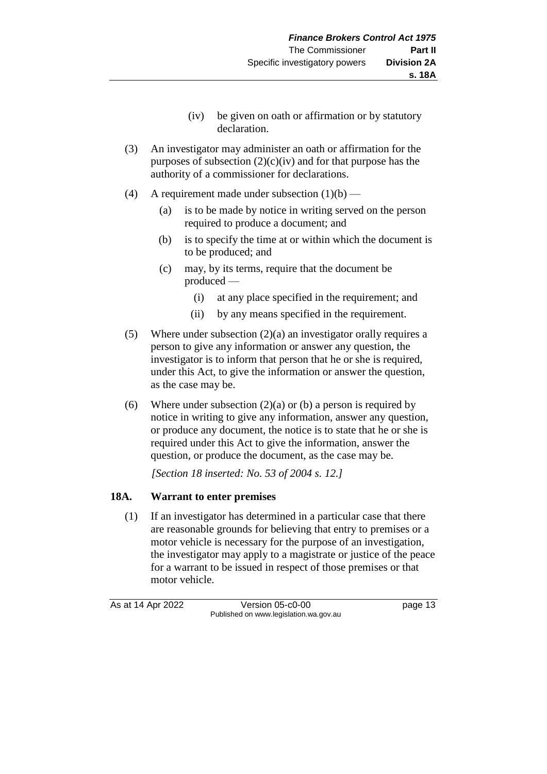- (iv) be given on oath or affirmation or by statutory declaration.
- (3) An investigator may administer an oath or affirmation for the purposes of subsection  $(2)(c)(iv)$  and for that purpose has the authority of a commissioner for declarations.
- (4) A requirement made under subsection  $(1)(b)$ 
	- (a) is to be made by notice in writing served on the person required to produce a document; and
	- (b) is to specify the time at or within which the document is to be produced; and
	- (c) may, by its terms, require that the document be produced —
		- (i) at any place specified in the requirement; and
		- (ii) by any means specified in the requirement.
- (5) Where under subsection (2)(a) an investigator orally requires a person to give any information or answer any question, the investigator is to inform that person that he or she is required, under this Act, to give the information or answer the question, as the case may be.
- (6) Where under subsection  $(2)(a)$  or (b) a person is required by notice in writing to give any information, answer any question, or produce any document, the notice is to state that he or she is required under this Act to give the information, answer the question, or produce the document, as the case may be.

*[Section 18 inserted: No. 53 of 2004 s. 12.]*

# **18A. Warrant to enter premises**

(1) If an investigator has determined in a particular case that there are reasonable grounds for believing that entry to premises or a motor vehicle is necessary for the purpose of an investigation, the investigator may apply to a magistrate or justice of the peace for a warrant to be issued in respect of those premises or that motor vehicle.

As at 14 Apr 2022 Version 05-c0-00 page 13 Published on www.legislation.wa.gov.au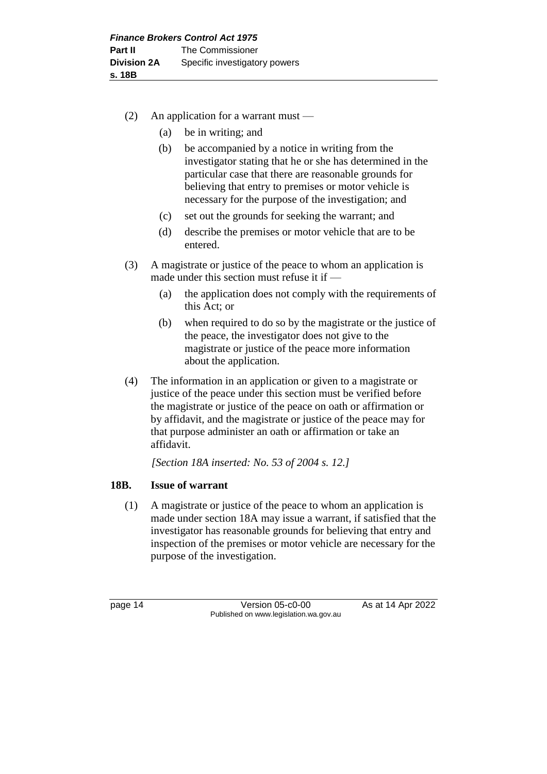- (2) An application for a warrant must
	- (a) be in writing; and
	- (b) be accompanied by a notice in writing from the investigator stating that he or she has determined in the particular case that there are reasonable grounds for believing that entry to premises or motor vehicle is necessary for the purpose of the investigation; and
	- (c) set out the grounds for seeking the warrant; and
	- (d) describe the premises or motor vehicle that are to be entered.
- (3) A magistrate or justice of the peace to whom an application is made under this section must refuse it if —
	- (a) the application does not comply with the requirements of this Act; or
	- (b) when required to do so by the magistrate or the justice of the peace, the investigator does not give to the magistrate or justice of the peace more information about the application.
- (4) The information in an application or given to a magistrate or justice of the peace under this section must be verified before the magistrate or justice of the peace on oath or affirmation or by affidavit, and the magistrate or justice of the peace may for that purpose administer an oath or affirmation or take an affidavit.

*[Section 18A inserted: No. 53 of 2004 s. 12.]*

# **18B. Issue of warrant**

(1) A magistrate or justice of the peace to whom an application is made under section 18A may issue a warrant, if satisfied that the investigator has reasonable grounds for believing that entry and inspection of the premises or motor vehicle are necessary for the purpose of the investigation.

page 14 **Version 05-c0-00** As at 14 Apr 2022 Published on www.legislation.wa.gov.au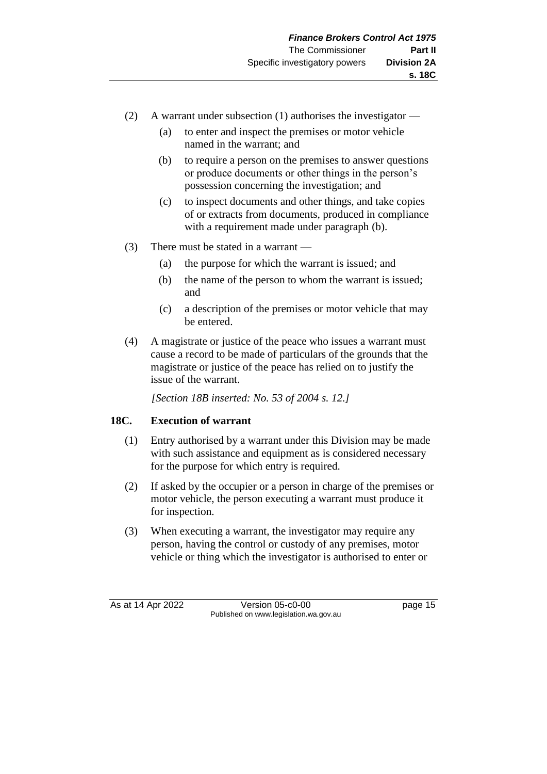- (2) A warrant under subsection (1) authorises the investigator
	- (a) to enter and inspect the premises or motor vehicle named in the warrant; and
	- (b) to require a person on the premises to answer questions or produce documents or other things in the person's possession concerning the investigation; and
	- (c) to inspect documents and other things, and take copies of or extracts from documents, produced in compliance with a requirement made under paragraph (b).
- (3) There must be stated in a warrant
	- (a) the purpose for which the warrant is issued; and
	- (b) the name of the person to whom the warrant is issued; and
	- (c) a description of the premises or motor vehicle that may be entered.
- (4) A magistrate or justice of the peace who issues a warrant must cause a record to be made of particulars of the grounds that the magistrate or justice of the peace has relied on to justify the issue of the warrant.

*[Section 18B inserted: No. 53 of 2004 s. 12.]*

# **18C. Execution of warrant**

- (1) Entry authorised by a warrant under this Division may be made with such assistance and equipment as is considered necessary for the purpose for which entry is required.
- (2) If asked by the occupier or a person in charge of the premises or motor vehicle, the person executing a warrant must produce it for inspection.
- (3) When executing a warrant, the investigator may require any person, having the control or custody of any premises, motor vehicle or thing which the investigator is authorised to enter or

As at 14 Apr 2022 Version 05-c0-00 page 15 Published on www.legislation.wa.gov.au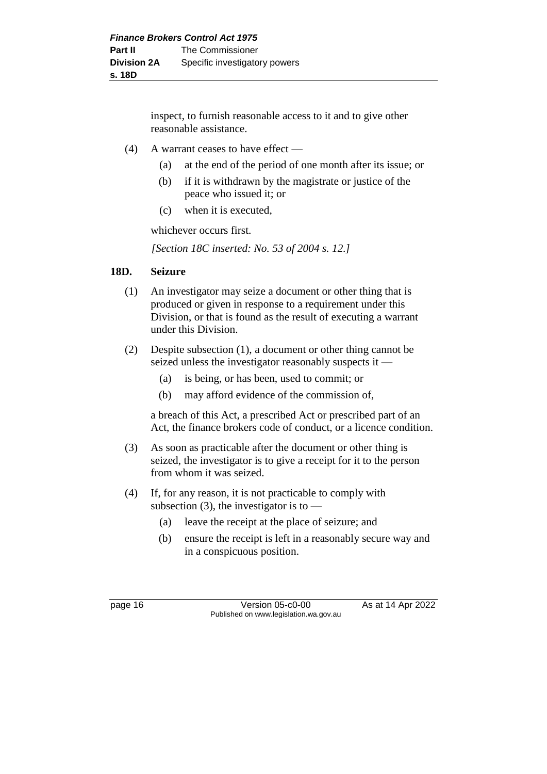inspect, to furnish reasonable access to it and to give other reasonable assistance.

- (4) A warrant ceases to have effect
	- (a) at the end of the period of one month after its issue; or
	- (b) if it is withdrawn by the magistrate or justice of the peace who issued it; or
	- (c) when it is executed,

whichever occurs first.

*[Section 18C inserted: No. 53 of 2004 s. 12.]*

# **18D. Seizure**

- (1) An investigator may seize a document or other thing that is produced or given in response to a requirement under this Division, or that is found as the result of executing a warrant under this Division.
- (2) Despite subsection (1), a document or other thing cannot be seized unless the investigator reasonably suspects it —
	- (a) is being, or has been, used to commit; or
	- (b) may afford evidence of the commission of,

a breach of this Act, a prescribed Act or prescribed part of an Act, the finance brokers code of conduct, or a licence condition.

- (3) As soon as practicable after the document or other thing is seized, the investigator is to give a receipt for it to the person from whom it was seized.
- (4) If, for any reason, it is not practicable to comply with subsection (3), the investigator is to  $-$ 
	- (a) leave the receipt at the place of seizure; and
	- (b) ensure the receipt is left in a reasonably secure way and in a conspicuous position.

page 16 Version 05-c0-00 As at 14 Apr 2022 Published on www.legislation.wa.gov.au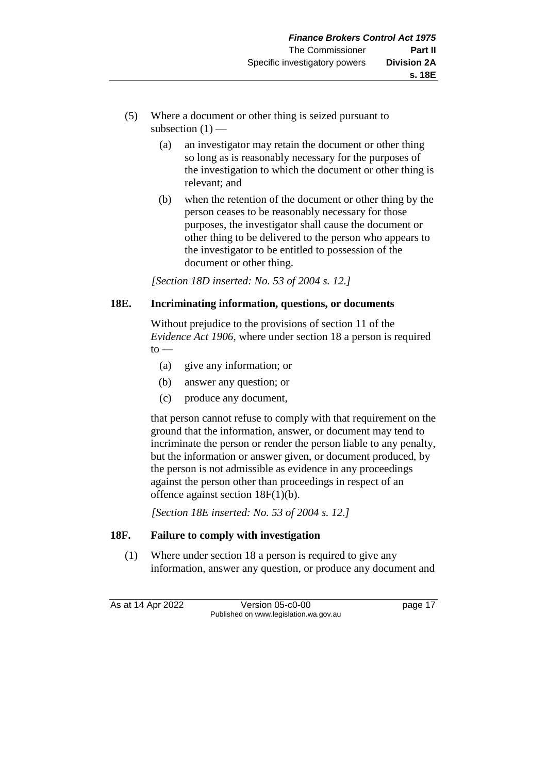- (5) Where a document or other thing is seized pursuant to subsection  $(1)$  —
	- (a) an investigator may retain the document or other thing so long as is reasonably necessary for the purposes of the investigation to which the document or other thing is relevant; and
	- (b) when the retention of the document or other thing by the person ceases to be reasonably necessary for those purposes, the investigator shall cause the document or other thing to be delivered to the person who appears to the investigator to be entitled to possession of the document or other thing.

*[Section 18D inserted: No. 53 of 2004 s. 12.]*

# **18E. Incriminating information, questions, or documents**

Without prejudice to the provisions of section 11 of the *Evidence Act 1906*, where under section 18 a person is required  $to -$ 

- (a) give any information; or
- (b) answer any question; or
- (c) produce any document,

that person cannot refuse to comply with that requirement on the ground that the information, answer, or document may tend to incriminate the person or render the person liable to any penalty, but the information or answer given, or document produced, by the person is not admissible as evidence in any proceedings against the person other than proceedings in respect of an offence against section 18F(1)(b).

*[Section 18E inserted: No. 53 of 2004 s. 12.]*

# **18F. Failure to comply with investigation**

(1) Where under section 18 a person is required to give any information, answer any question, or produce any document and

As at 14 Apr 2022 Version 05-c0-00 page 17 Published on www.legislation.wa.gov.au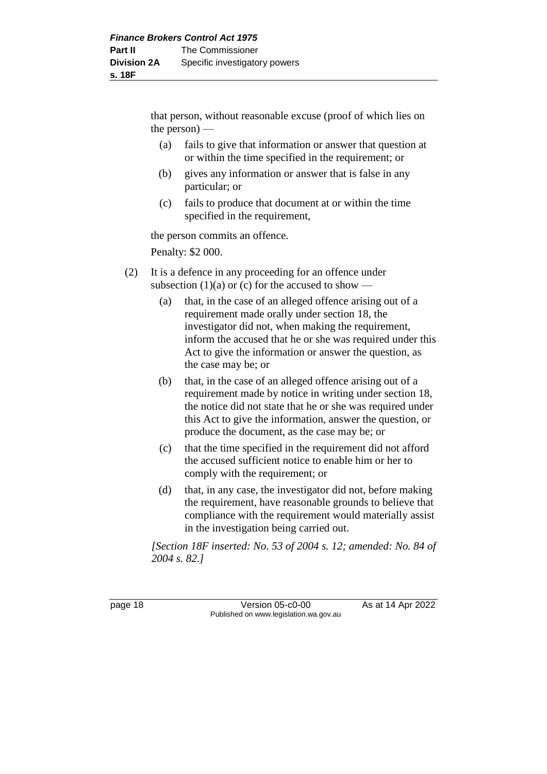that person, without reasonable excuse (proof of which lies on the person) —

- (a) fails to give that information or answer that question at or within the time specified in the requirement; or
- (b) gives any information or answer that is false in any particular; or
- (c) fails to produce that document at or within the time specified in the requirement,

the person commits an offence.

Penalty: \$2 000.

- (2) It is a defence in any proceeding for an offence under subsection (1)(a) or (c) for the accused to show —
	- (a) that, in the case of an alleged offence arising out of a requirement made orally under section 18, the investigator did not, when making the requirement, inform the accused that he or she was required under this Act to give the information or answer the question, as the case may be; or
	- (b) that, in the case of an alleged offence arising out of a requirement made by notice in writing under section 18, the notice did not state that he or she was required under this Act to give the information, answer the question, or produce the document, as the case may be; or
	- (c) that the time specified in the requirement did not afford the accused sufficient notice to enable him or her to comply with the requirement; or
	- (d) that, in any case, the investigator did not, before making the requirement, have reasonable grounds to believe that compliance with the requirement would materially assist in the investigation being carried out.

*[Section 18F inserted: No. 53 of 2004 s. 12; amended: No. 84 of 2004 s. 82.]*

page 18 **Version 05-c0-00** As at 14 Apr 2022 Published on www.legislation.wa.gov.au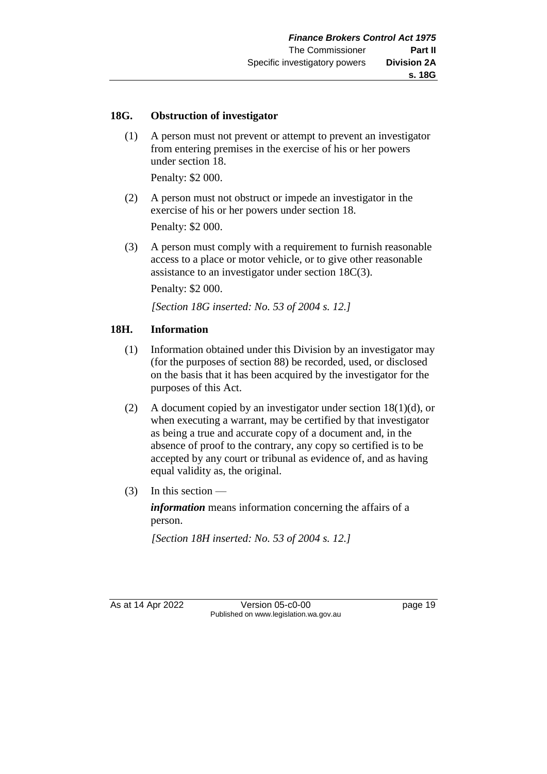#### **18G. Obstruction of investigator**

(1) A person must not prevent or attempt to prevent an investigator from entering premises in the exercise of his or her powers under section 18.

Penalty: \$2 000.

- (2) A person must not obstruct or impede an investigator in the exercise of his or her powers under section 18. Penalty: \$2 000.
- (3) A person must comply with a requirement to furnish reasonable access to a place or motor vehicle, or to give other reasonable assistance to an investigator under section 18C(3).

Penalty: \$2 000.

*[Section 18G inserted: No. 53 of 2004 s. 12.]*

#### **18H. Information**

- (1) Information obtained under this Division by an investigator may (for the purposes of section 88) be recorded, used, or disclosed on the basis that it has been acquired by the investigator for the purposes of this Act.
- (2) A document copied by an investigator under section 18(1)(d), or when executing a warrant, may be certified by that investigator as being a true and accurate copy of a document and, in the absence of proof to the contrary, any copy so certified is to be accepted by any court or tribunal as evidence of, and as having equal validity as, the original.
- $(3)$  In this section —

*information* means information concerning the affairs of a person.

*[Section 18H inserted: No. 53 of 2004 s. 12.]*

As at 14 Apr 2022 Version 05-c0-00 Published on www.legislation.wa.gov.au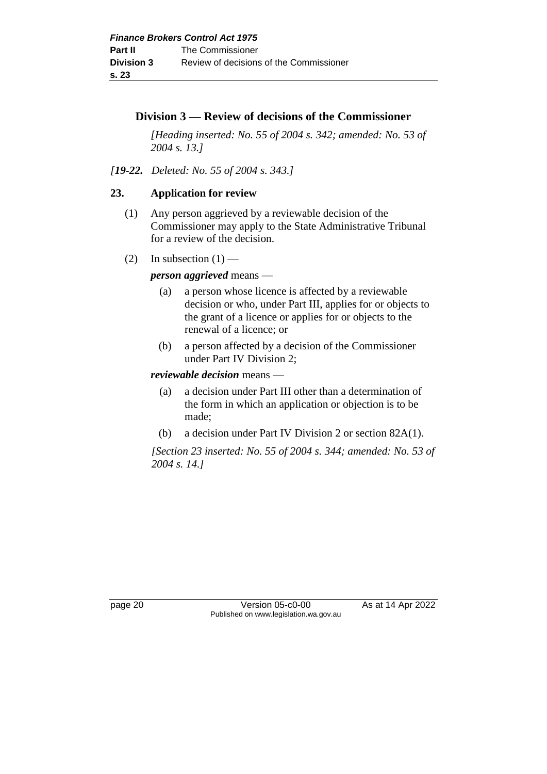# **Division 3 — Review of decisions of the Commissioner**

*[Heading inserted: No. 55 of 2004 s. 342; amended: No. 53 of 2004 s. 13.]*

*[19-22. Deleted: No. 55 of 2004 s. 343.]*

# **23. Application for review**

- (1) Any person aggrieved by a reviewable decision of the Commissioner may apply to the State Administrative Tribunal for a review of the decision.
- (2) In subsection  $(1)$  —

# *person aggrieved* means —

- (a) a person whose licence is affected by a reviewable decision or who, under Part III, applies for or objects to the grant of a licence or applies for or objects to the renewal of a licence; or
- (b) a person affected by a decision of the Commissioner under Part IV Division 2;

# *reviewable decision* means —

- (a) a decision under Part III other than a determination of the form in which an application or objection is to be made;
- (b) a decision under Part IV Division 2 or section 82A(1).

*[Section 23 inserted: No. 55 of 2004 s. 344; amended: No. 53 of 2004 s. 14.]*

page 20 **Version 05-c0-00** As at 14 Apr 2022 Published on www.legislation.wa.gov.au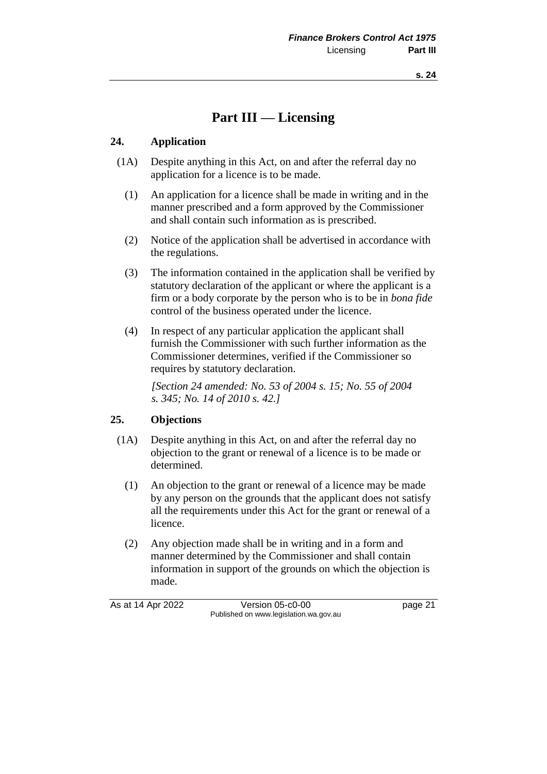# **Part III — Licensing**

#### **24. Application**

- (1A) Despite anything in this Act, on and after the referral day no application for a licence is to be made.
	- (1) An application for a licence shall be made in writing and in the manner prescribed and a form approved by the Commissioner and shall contain such information as is prescribed.
	- (2) Notice of the application shall be advertised in accordance with the regulations.
	- (3) The information contained in the application shall be verified by statutory declaration of the applicant or where the applicant is a firm or a body corporate by the person who is to be in *bona fide* control of the business operated under the licence.
	- (4) In respect of any particular application the applicant shall furnish the Commissioner with such further information as the Commissioner determines, verified if the Commissioner so requires by statutory declaration.

*[Section 24 amended: No. 53 of 2004 s. 15; No. 55 of 2004 s. 345; No. 14 of 2010 s. 42.]*

#### **25. Objections**

- (1A) Despite anything in this Act, on and after the referral day no objection to the grant or renewal of a licence is to be made or determined.
	- (1) An objection to the grant or renewal of a licence may be made by any person on the grounds that the applicant does not satisfy all the requirements under this Act for the grant or renewal of a licence.
	- (2) Any objection made shall be in writing and in a form and manner determined by the Commissioner and shall contain information in support of the grounds on which the objection is made.

As at 14 Apr 2022 Version 05-c0-00 page 21 Published on www.legislation.wa.gov.au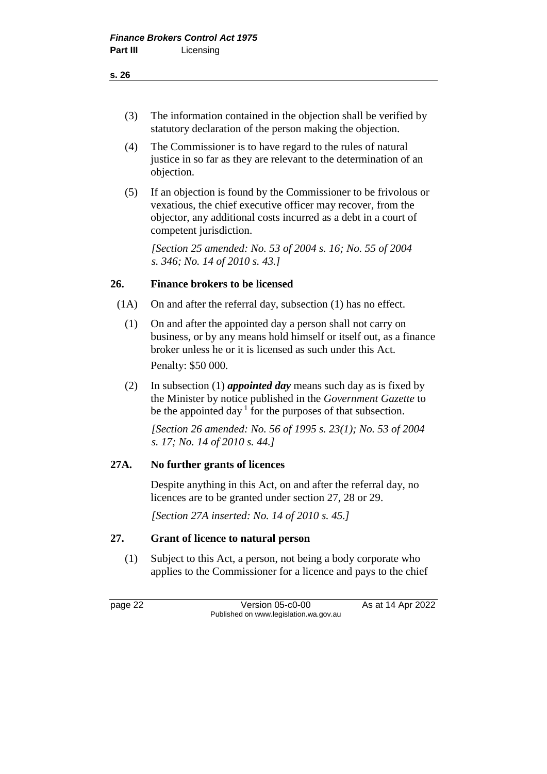- (3) The information contained in the objection shall be verified by statutory declaration of the person making the objection.
- (4) The Commissioner is to have regard to the rules of natural justice in so far as they are relevant to the determination of an objection.
- (5) If an objection is found by the Commissioner to be frivolous or vexatious, the chief executive officer may recover, from the objector, any additional costs incurred as a debt in a court of competent jurisdiction.

*[Section 25 amended: No. 53 of 2004 s. 16; No. 55 of 2004 s. 346; No. 14 of 2010 s. 43.]*

#### **26. Finance brokers to be licensed**

- (1A) On and after the referral day, subsection (1) has no effect.
	- (1) On and after the appointed day a person shall not carry on business, or by any means hold himself or itself out, as a finance broker unless he or it is licensed as such under this Act. Penalty: \$50 000.

(2) In subsection (1) *appointed day* means such day as is fixed by the Minister by notice published in the *Government Gazette* to be the appointed day  $1$  for the purposes of that subsection.

*[Section 26 amended: No. 56 of 1995 s. 23(1); No. 53 of 2004 s. 17; No. 14 of 2010 s. 44.]*

#### **27A. No further grants of licences**

Despite anything in this Act, on and after the referral day, no licences are to be granted under section 27, 28 or 29.

*[Section 27A inserted: No. 14 of 2010 s. 45.]*

#### **27. Grant of licence to natural person**

(1) Subject to this Act, a person, not being a body corporate who applies to the Commissioner for a licence and pays to the chief

page 22 **Version 05-c0-00** As at 14 Apr 2022 Published on www.legislation.wa.gov.au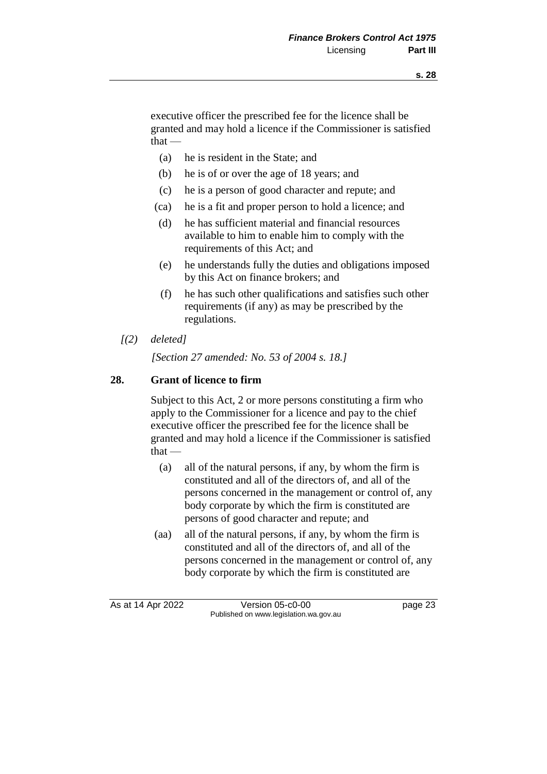executive officer the prescribed fee for the licence shall be granted and may hold a licence if the Commissioner is satisfied  $that -$ 

- (a) he is resident in the State; and
- (b) he is of or over the age of 18 years; and
- (c) he is a person of good character and repute; and
- (ca) he is a fit and proper person to hold a licence; and
- (d) he has sufficient material and financial resources available to him to enable him to comply with the requirements of this Act; and
- (e) he understands fully the duties and obligations imposed by this Act on finance brokers; and
- (f) he has such other qualifications and satisfies such other requirements (if any) as may be prescribed by the regulations.
- *[(2) deleted]*

*[Section 27 amended: No. 53 of 2004 s. 18.]*

#### **28. Grant of licence to firm**

Subject to this Act, 2 or more persons constituting a firm who apply to the Commissioner for a licence and pay to the chief executive officer the prescribed fee for the licence shall be granted and may hold a licence if the Commissioner is satisfied  $that -$ 

- (a) all of the natural persons, if any, by whom the firm is constituted and all of the directors of, and all of the persons concerned in the management or control of, any body corporate by which the firm is constituted are persons of good character and repute; and
- (aa) all of the natural persons, if any, by whom the firm is constituted and all of the directors of, and all of the persons concerned in the management or control of, any body corporate by which the firm is constituted are

As at 14 Apr 2022 Version 05-c0-00 page 23 Published on www.legislation.wa.gov.au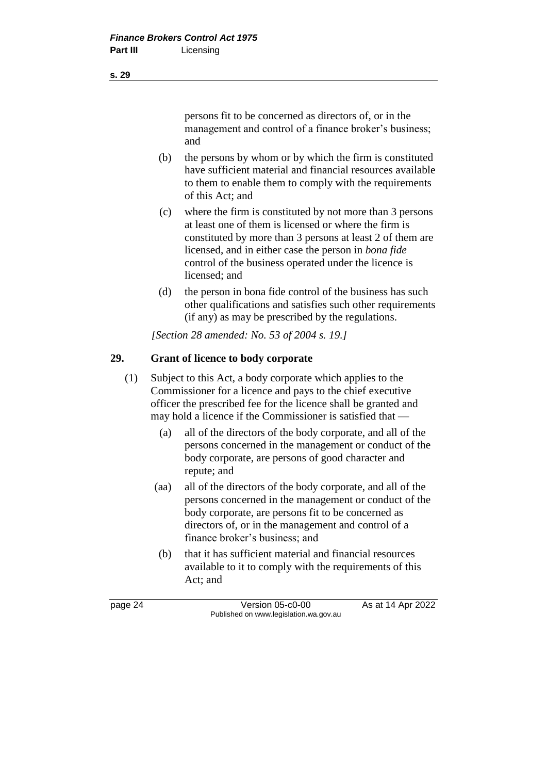persons fit to be concerned as directors of, or in the management and control of a finance broker's business; and

- (b) the persons by whom or by which the firm is constituted have sufficient material and financial resources available to them to enable them to comply with the requirements of this Act; and
- (c) where the firm is constituted by not more than 3 persons at least one of them is licensed or where the firm is constituted by more than 3 persons at least 2 of them are licensed, and in either case the person in *bona fide* control of the business operated under the licence is licensed; and
- (d) the person in bona fide control of the business has such other qualifications and satisfies such other requirements (if any) as may be prescribed by the regulations.

*[Section 28 amended: No. 53 of 2004 s. 19.]*

# **29. Grant of licence to body corporate**

- (1) Subject to this Act, a body corporate which applies to the Commissioner for a licence and pays to the chief executive officer the prescribed fee for the licence shall be granted and may hold a licence if the Commissioner is satisfied that —
	- (a) all of the directors of the body corporate, and all of the persons concerned in the management or conduct of the body corporate, are persons of good character and repute; and
	- (aa) all of the directors of the body corporate, and all of the persons concerned in the management or conduct of the body corporate, are persons fit to be concerned as directors of, or in the management and control of a finance broker's business; and
	- (b) that it has sufficient material and financial resources available to it to comply with the requirements of this Act; and

page 24 Version 05-c0-00 As at 14 Apr 2022 Published on www.legislation.wa.gov.au

**s. 29**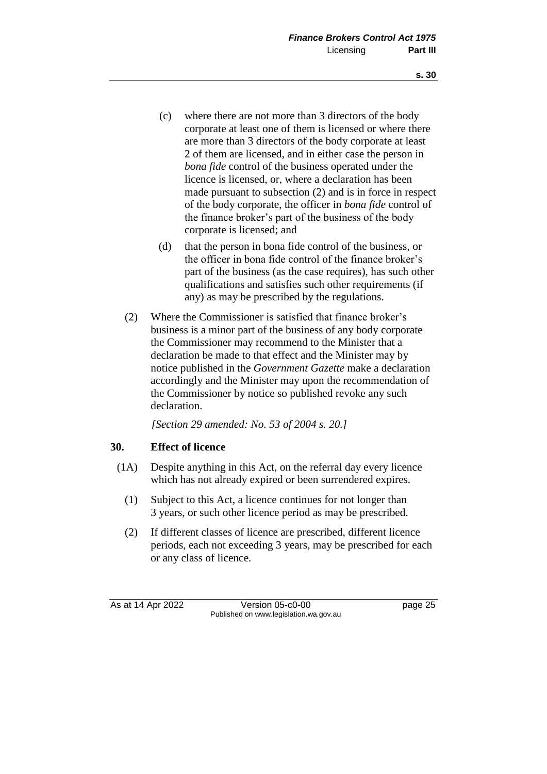- (c) where there are not more than 3 directors of the body corporate at least one of them is licensed or where there are more than 3 directors of the body corporate at least 2 of them are licensed, and in either case the person in *bona fide* control of the business operated under the licence is licensed, or, where a declaration has been made pursuant to subsection (2) and is in force in respect of the body corporate, the officer in *bona fide* control of the finance broker's part of the business of the body corporate is licensed; and
- (d) that the person in bona fide control of the business, or the officer in bona fide control of the finance broker's part of the business (as the case requires), has such other qualifications and satisfies such other requirements (if any) as may be prescribed by the regulations.
- (2) Where the Commissioner is satisfied that finance broker's business is a minor part of the business of any body corporate the Commissioner may recommend to the Minister that a declaration be made to that effect and the Minister may by notice published in the *Government Gazette* make a declaration accordingly and the Minister may upon the recommendation of the Commissioner by notice so published revoke any such declaration.

*[Section 29 amended: No. 53 of 2004 s. 20.]*

#### **30. Effect of licence**

- (1A) Despite anything in this Act, on the referral day every licence which has not already expired or been surrendered expires.
	- (1) Subject to this Act, a licence continues for not longer than 3 years, or such other licence period as may be prescribed.
	- (2) If different classes of licence are prescribed, different licence periods, each not exceeding 3 years, may be prescribed for each or any class of licence.

As at 14 Apr 2022 Version 05-c0-00 page 25 Published on www.legislation.wa.gov.au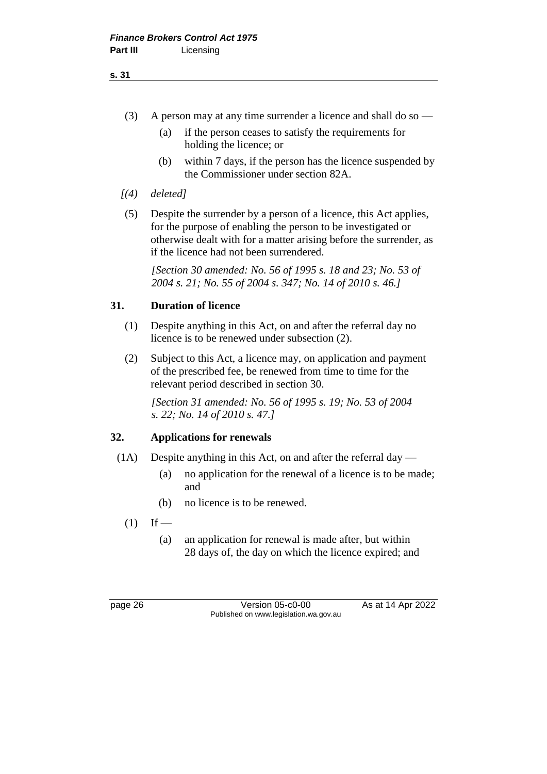- (3) A person may at any time surrender a licence and shall do so
	- (a) if the person ceases to satisfy the requirements for holding the licence; or
	- (b) within 7 days, if the person has the licence suspended by the Commissioner under section 82A.
- *[(4) deleted]*
- (5) Despite the surrender by a person of a licence, this Act applies, for the purpose of enabling the person to be investigated or otherwise dealt with for a matter arising before the surrender, as if the licence had not been surrendered.

*[Section 30 amended: No. 56 of 1995 s. 18 and 23; No. 53 of 2004 s. 21; No. 55 of 2004 s. 347; No. 14 of 2010 s. 46.]* 

#### **31. Duration of licence**

- (1) Despite anything in this Act, on and after the referral day no licence is to be renewed under subsection (2).
- (2) Subject to this Act, a licence may, on application and payment of the prescribed fee, be renewed from time to time for the relevant period described in section 30.

*[Section 31 amended: No. 56 of 1995 s. 19; No. 53 of 2004 s. 22; No. 14 of 2010 s. 47.]*

#### **32. Applications for renewals**

- (1A) Despite anything in this Act, on and after the referral day
	- (a) no application for the renewal of a licence is to be made; and
	- (b) no licence is to be renewed.
	- $(1)$  If
		- (a) an application for renewal is made after, but within 28 days of, the day on which the licence expired; and

page 26 Version 05-c0-00 As at 14 Apr 2022 Published on www.legislation.wa.gov.au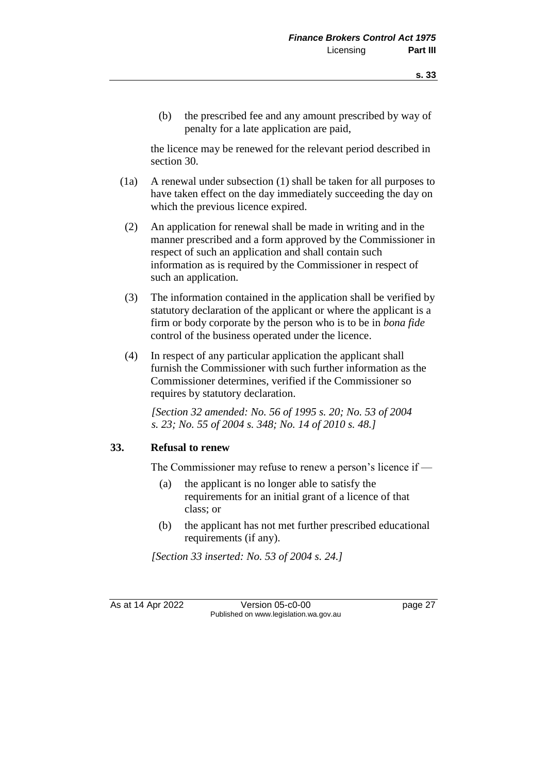(b) the prescribed fee and any amount prescribed by way of penalty for a late application are paid,

the licence may be renewed for the relevant period described in section 30.

- (1a) A renewal under subsection (1) shall be taken for all purposes to have taken effect on the day immediately succeeding the day on which the previous licence expired.
- (2) An application for renewal shall be made in writing and in the manner prescribed and a form approved by the Commissioner in respect of such an application and shall contain such information as is required by the Commissioner in respect of such an application.
- (3) The information contained in the application shall be verified by statutory declaration of the applicant or where the applicant is a firm or body corporate by the person who is to be in *bona fide* control of the business operated under the licence.
- (4) In respect of any particular application the applicant shall furnish the Commissioner with such further information as the Commissioner determines, verified if the Commissioner so requires by statutory declaration.

*[Section 32 amended: No. 56 of 1995 s. 20; No. 53 of 2004 s. 23; No. 55 of 2004 s. 348; No. 14 of 2010 s. 48.]*

#### **33. Refusal to renew**

The Commissioner may refuse to renew a person's licence if —

- (a) the applicant is no longer able to satisfy the requirements for an initial grant of a licence of that class; or
- (b) the applicant has not met further prescribed educational requirements (if any).

*[Section 33 inserted: No. 53 of 2004 s. 24.]*

As at 14 Apr 2022 Version 05-c0-00 page 27 Published on www.legislation.wa.gov.au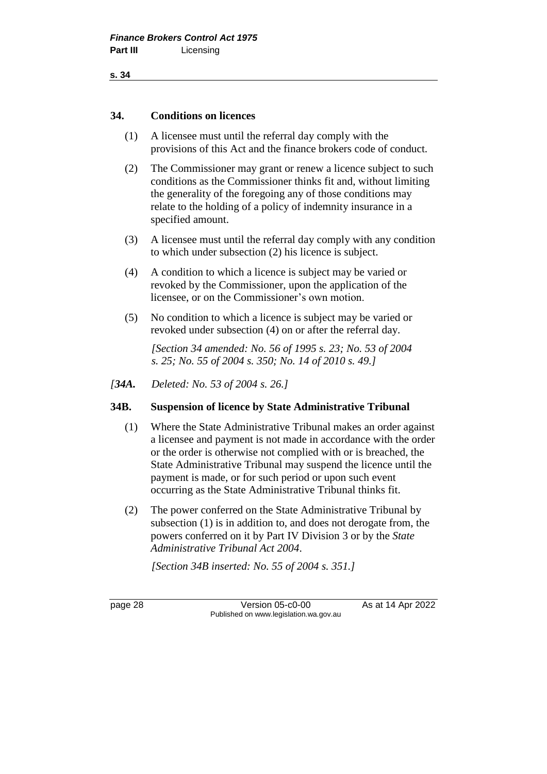**s. 34**

#### **34. Conditions on licences**

- (1) A licensee must until the referral day comply with the provisions of this Act and the finance brokers code of conduct.
- (2) The Commissioner may grant or renew a licence subject to such conditions as the Commissioner thinks fit and, without limiting the generality of the foregoing any of those conditions may relate to the holding of a policy of indemnity insurance in a specified amount.
- (3) A licensee must until the referral day comply with any condition to which under subsection (2) his licence is subject.
- (4) A condition to which a licence is subject may be varied or revoked by the Commissioner, upon the application of the licensee, or on the Commissioner's own motion.
- (5) No condition to which a licence is subject may be varied or revoked under subsection (4) on or after the referral day.

*[Section 34 amended: No. 56 of 1995 s. 23; No. 53 of 2004 s. 25; No. 55 of 2004 s. 350; No. 14 of 2010 s. 49.]*

*[34A. Deleted: No. 53 of 2004 s. 26.]*

#### **34B. Suspension of licence by State Administrative Tribunal**

- (1) Where the State Administrative Tribunal makes an order against a licensee and payment is not made in accordance with the order or the order is otherwise not complied with or is breached, the State Administrative Tribunal may suspend the licence until the payment is made, or for such period or upon such event occurring as the State Administrative Tribunal thinks fit.
- (2) The power conferred on the State Administrative Tribunal by subsection (1) is in addition to, and does not derogate from, the powers conferred on it by Part IV Division 3 or by the *State Administrative Tribunal Act 2004*.

*[Section 34B inserted: No. 55 of 2004 s. 351.]*

page 28 Version 05-c0-00 As at 14 Apr 2022 Published on www.legislation.wa.gov.au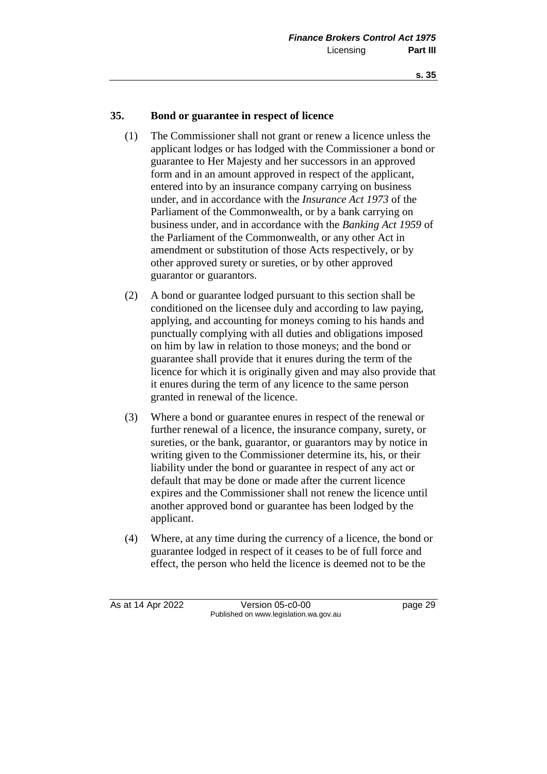#### **35. Bond or guarantee in respect of licence**

- (1) The Commissioner shall not grant or renew a licence unless the applicant lodges or has lodged with the Commissioner a bond or guarantee to Her Majesty and her successors in an approved form and in an amount approved in respect of the applicant, entered into by an insurance company carrying on business under, and in accordance with the *Insurance Act 1973* of the Parliament of the Commonwealth, or by a bank carrying on business under, and in accordance with the *Banking Act 1959* of the Parliament of the Commonwealth, or any other Act in amendment or substitution of those Acts respectively, or by other approved surety or sureties, or by other approved guarantor or guarantors.
- (2) A bond or guarantee lodged pursuant to this section shall be conditioned on the licensee duly and according to law paying, applying, and accounting for moneys coming to his hands and punctually complying with all duties and obligations imposed on him by law in relation to those moneys; and the bond or guarantee shall provide that it enures during the term of the licence for which it is originally given and may also provide that it enures during the term of any licence to the same person granted in renewal of the licence.
- (3) Where a bond or guarantee enures in respect of the renewal or further renewal of a licence, the insurance company, surety, or sureties, or the bank, guarantor, or guarantors may by notice in writing given to the Commissioner determine its, his, or their liability under the bond or guarantee in respect of any act or default that may be done or made after the current licence expires and the Commissioner shall not renew the licence until another approved bond or guarantee has been lodged by the applicant.
- (4) Where, at any time during the currency of a licence, the bond or guarantee lodged in respect of it ceases to be of full force and effect, the person who held the licence is deemed not to be the

As at 14 Apr 2022 Version 05-c0-00 page 29 Published on www.legislation.wa.gov.au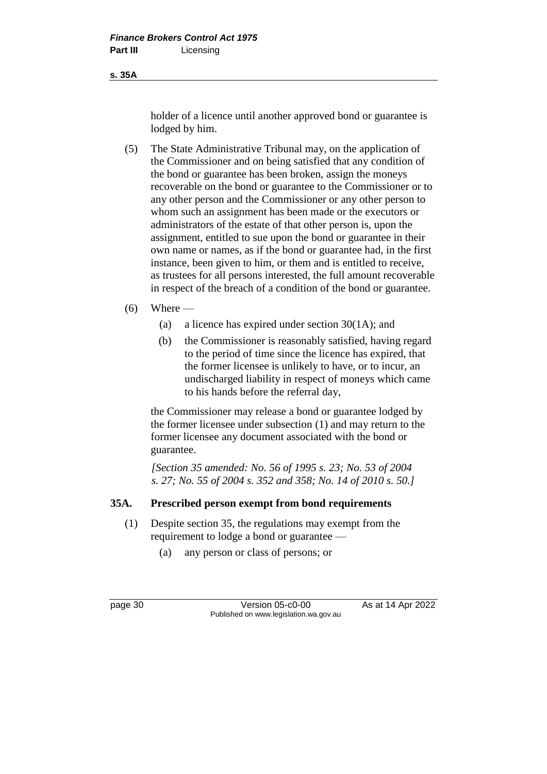**s. 35A**

holder of a licence until another approved bond or guarantee is lodged by him.

(5) The State Administrative Tribunal may, on the application of the Commissioner and on being satisfied that any condition of the bond or guarantee has been broken, assign the moneys recoverable on the bond or guarantee to the Commissioner or to any other person and the Commissioner or any other person to whom such an assignment has been made or the executors or administrators of the estate of that other person is, upon the assignment, entitled to sue upon the bond or guarantee in their own name or names, as if the bond or guarantee had, in the first instance, been given to him, or them and is entitled to receive, as trustees for all persons interested, the full amount recoverable in respect of the breach of a condition of the bond or guarantee.

#### $(6)$  Where —

- (a) a licence has expired under section 30(1A); and
- (b) the Commissioner is reasonably satisfied, having regard to the period of time since the licence has expired, that the former licensee is unlikely to have, or to incur, an undischarged liability in respect of moneys which came to his hands before the referral day,

the Commissioner may release a bond or guarantee lodged by the former licensee under subsection (1) and may return to the former licensee any document associated with the bond or guarantee.

*[Section 35 amended: No. 56 of 1995 s. 23; No. 53 of 2004 s. 27; No. 55 of 2004 s. 352 and 358; No. 14 of 2010 s. 50.]*

# **35A. Prescribed person exempt from bond requirements**

- (1) Despite section 35, the regulations may exempt from the requirement to lodge a bond or guarantee —
	- (a) any person or class of persons; or

page 30 **Version 05-c0-00** As at 14 Apr 2022 Published on www.legislation.wa.gov.au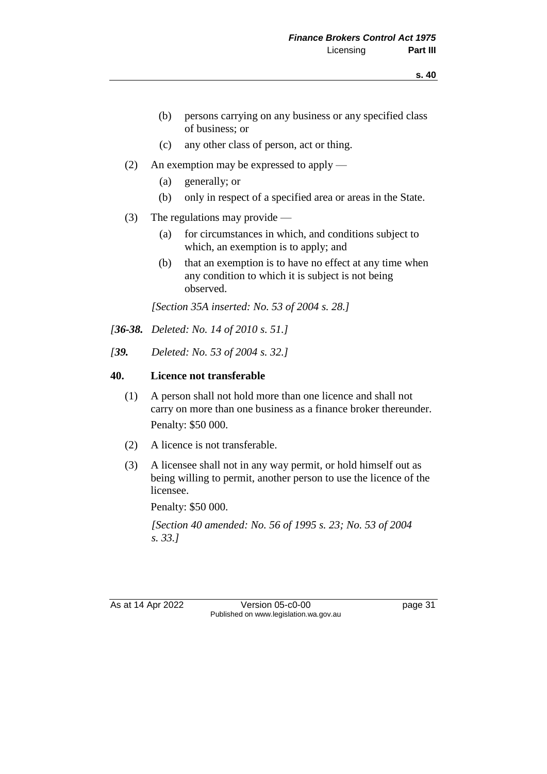- (b) persons carrying on any business or any specified class of business; or
- (c) any other class of person, act or thing.
- (2) An exemption may be expressed to apply
	- (a) generally; or
	- (b) only in respect of a specified area or areas in the State.
- (3) The regulations may provide
	- (a) for circumstances in which, and conditions subject to which, an exemption is to apply; and
	- (b) that an exemption is to have no effect at any time when any condition to which it is subject is not being observed.

*[Section 35A inserted: No. 53 of 2004 s. 28.]*

- *[36-38. Deleted: No. 14 of 2010 s. 51.]*
- *[39. Deleted: No. 53 of 2004 s. 32.]*

#### **40. Licence not transferable**

- (1) A person shall not hold more than one licence and shall not carry on more than one business as a finance broker thereunder. Penalty: \$50 000.
- (2) A licence is not transferable.
- (3) A licensee shall not in any way permit, or hold himself out as being willing to permit, another person to use the licence of the licensee.

Penalty: \$50 000.

*[Section 40 amended: No. 56 of 1995 s. 23; No. 53 of 2004 s. 33.]* 

As at 14 Apr 2022 Version 05-c0-00 Published on www.legislation.wa.gov.au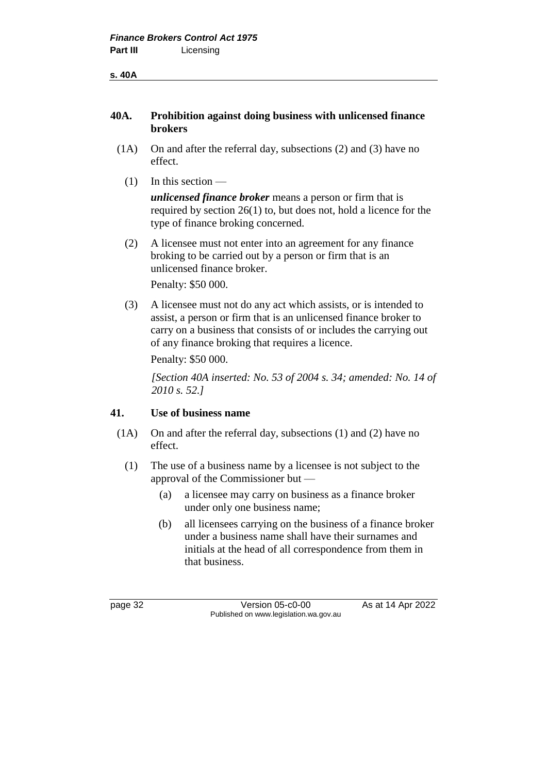### **40A. Prohibition against doing business with unlicensed finance brokers**

- (1A) On and after the referral day, subsections (2) and (3) have no effect.
	- (1) In this section —

*unlicensed finance broker* means a person or firm that is required by section 26(1) to, but does not, hold a licence for the type of finance broking concerned.

(2) A licensee must not enter into an agreement for any finance broking to be carried out by a person or firm that is an unlicensed finance broker.

Penalty: \$50 000.

(3) A licensee must not do any act which assists, or is intended to assist, a person or firm that is an unlicensed finance broker to carry on a business that consists of or includes the carrying out of any finance broking that requires a licence.

Penalty: \$50 000.

*[Section 40A inserted: No. 53 of 2004 s. 34; amended: No. 14 of 2010 s. 52.]*

### **41. Use of business name**

- (1A) On and after the referral day, subsections (1) and (2) have no effect.
	- (1) The use of a business name by a licensee is not subject to the approval of the Commissioner but —
		- (a) a licensee may carry on business as a finance broker under only one business name;
		- (b) all licensees carrying on the business of a finance broker under a business name shall have their surnames and initials at the head of all correspondence from them in that business.

page 32 Version 05-c0-00 As at 14 Apr 2022 Published on www.legislation.wa.gov.au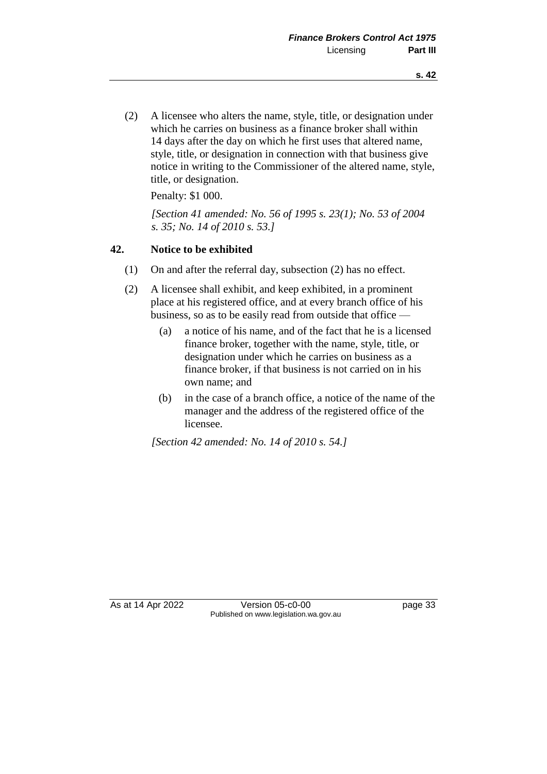(2) A licensee who alters the name, style, title, or designation under which he carries on business as a finance broker shall within 14 days after the day on which he first uses that altered name, style, title, or designation in connection with that business give notice in writing to the Commissioner of the altered name, style, title, or designation.

Penalty: \$1 000.

*[Section 41 amended: No. 56 of 1995 s. 23(1); No. 53 of 2004 s. 35; No. 14 of 2010 s. 53.]* 

#### **42. Notice to be exhibited**

- (1) On and after the referral day, subsection (2) has no effect.
- (2) A licensee shall exhibit, and keep exhibited, in a prominent place at his registered office, and at every branch office of his business, so as to be easily read from outside that office —
	- (a) a notice of his name, and of the fact that he is a licensed finance broker, together with the name, style, title, or designation under which he carries on business as a finance broker, if that business is not carried on in his own name; and
	- (b) in the case of a branch office, a notice of the name of the manager and the address of the registered office of the licensee.

*[Section 42 amended: No. 14 of 2010 s. 54.]*

As at 14 Apr 2022 Version 05-c0-00 page 33 Published on www.legislation.wa.gov.au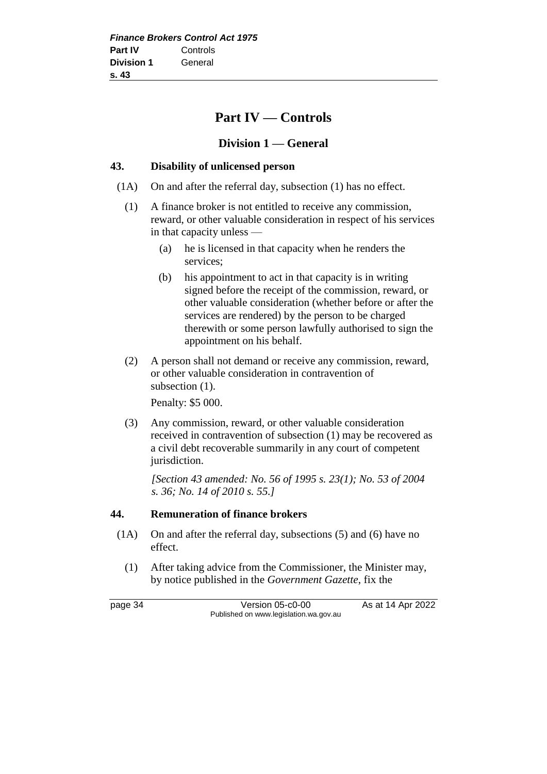# **Part IV — Controls**

### **Division 1 — General**

### **43. Disability of unlicensed person**

- (1A) On and after the referral day, subsection (1) has no effect.
	- (1) A finance broker is not entitled to receive any commission, reward, or other valuable consideration in respect of his services in that capacity unless —
		- (a) he is licensed in that capacity when he renders the services;
		- (b) his appointment to act in that capacity is in writing signed before the receipt of the commission, reward, or other valuable consideration (whether before or after the services are rendered) by the person to be charged therewith or some person lawfully authorised to sign the appointment on his behalf.
	- (2) A person shall not demand or receive any commission, reward, or other valuable consideration in contravention of subsection  $(1)$ .

Penalty: \$5 000.

(3) Any commission, reward, or other valuable consideration received in contravention of subsection (1) may be recovered as a civil debt recoverable summarily in any court of competent jurisdiction.

*[Section 43 amended: No. 56 of 1995 s. 23(1); No. 53 of 2004 s. 36; No. 14 of 2010 s. 55.]*

#### **44. Remuneration of finance brokers**

- (1A) On and after the referral day, subsections (5) and (6) have no effect.
	- (1) After taking advice from the Commissioner, the Minister may, by notice published in the *Government Gazette*, fix the

page 34 Version 05-c0-00 As at 14 Apr 2022 Published on www.legislation.wa.gov.au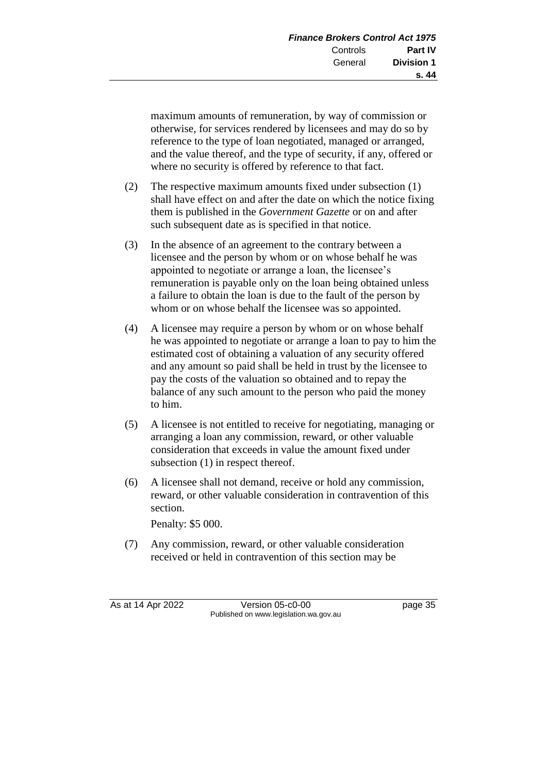maximum amounts of remuneration, by way of commission or otherwise, for services rendered by licensees and may do so by reference to the type of loan negotiated, managed or arranged, and the value thereof, and the type of security, if any, offered or where no security is offered by reference to that fact.

- (2) The respective maximum amounts fixed under subsection (1) shall have effect on and after the date on which the notice fixing them is published in the *Government Gazette* or on and after such subsequent date as is specified in that notice.
- (3) In the absence of an agreement to the contrary between a licensee and the person by whom or on whose behalf he was appointed to negotiate or arrange a loan, the licensee's remuneration is payable only on the loan being obtained unless a failure to obtain the loan is due to the fault of the person by whom or on whose behalf the licensee was so appointed.
- (4) A licensee may require a person by whom or on whose behalf he was appointed to negotiate or arrange a loan to pay to him the estimated cost of obtaining a valuation of any security offered and any amount so paid shall be held in trust by the licensee to pay the costs of the valuation so obtained and to repay the balance of any such amount to the person who paid the money to him.
- (5) A licensee is not entitled to receive for negotiating, managing or arranging a loan any commission, reward, or other valuable consideration that exceeds in value the amount fixed under subsection (1) in respect thereof.
- (6) A licensee shall not demand, receive or hold any commission, reward, or other valuable consideration in contravention of this section.

Penalty: \$5 000.

(7) Any commission, reward, or other valuable consideration received or held in contravention of this section may be

As at 14 Apr 2022 Version 05-c0-00 page 35 Published on www.legislation.wa.gov.au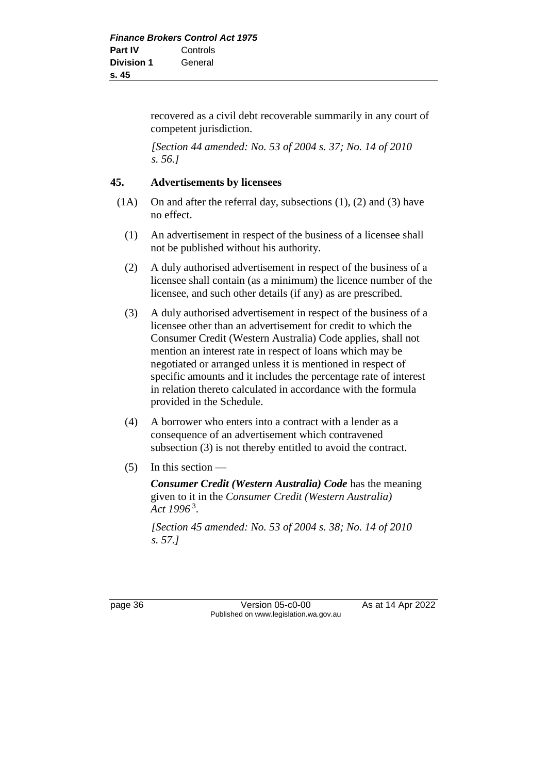recovered as a civil debt recoverable summarily in any court of competent jurisdiction.

*[Section 44 amended: No. 53 of 2004 s. 37; No. 14 of 2010 s. 56.]*

### **45. Advertisements by licensees**

- $(1A)$  On and after the referral day, subsections  $(1)$ ,  $(2)$  and  $(3)$  have no effect.
	- (1) An advertisement in respect of the business of a licensee shall not be published without his authority.
	- (2) A duly authorised advertisement in respect of the business of a licensee shall contain (as a minimum) the licence number of the licensee, and such other details (if any) as are prescribed.
	- (3) A duly authorised advertisement in respect of the business of a licensee other than an advertisement for credit to which the Consumer Credit (Western Australia) Code applies, shall not mention an interest rate in respect of loans which may be negotiated or arranged unless it is mentioned in respect of specific amounts and it includes the percentage rate of interest in relation thereto calculated in accordance with the formula provided in the Schedule.
	- (4) A borrower who enters into a contract with a lender as a consequence of an advertisement which contravened subsection (3) is not thereby entitled to avoid the contract.
	- (5) In this section —

*Consumer Credit (Western Australia) Code* has the meaning given to it in the *Consumer Credit (Western Australia) Act 1996* <sup>3</sup> .

*[Section 45 amended: No. 53 of 2004 s. 38; No. 14 of 2010 s. 57.]*

page 36 Version 05-c0-00 As at 14 Apr 2022 Published on www.legislation.wa.gov.au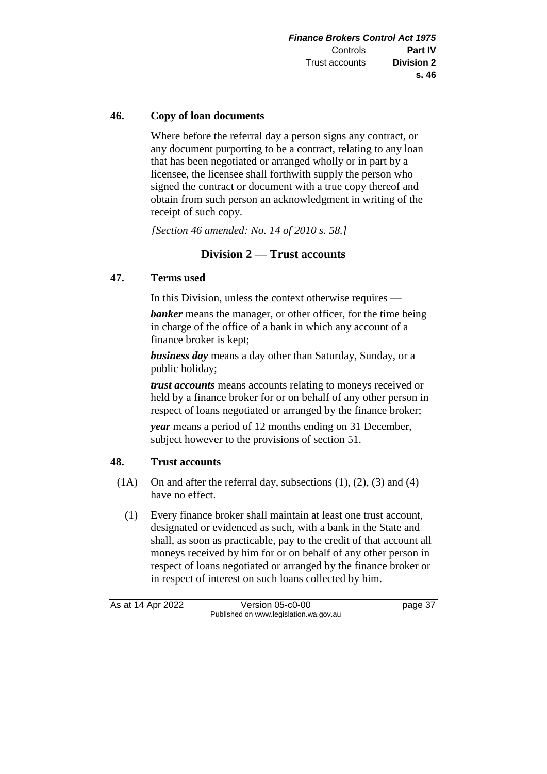### **46. Copy of loan documents**

Where before the referral day a person signs any contract, or any document purporting to be a contract, relating to any loan that has been negotiated or arranged wholly or in part by a licensee, the licensee shall forthwith supply the person who signed the contract or document with a true copy thereof and obtain from such person an acknowledgment in writing of the receipt of such copy.

*[Section 46 amended: No. 14 of 2010 s. 58.]*

## **Division 2 — Trust accounts**

### **47. Terms used**

In this Division, unless the context otherwise requires —

*banker* means the manager, or other officer, for the time being in charge of the office of a bank in which any account of a finance broker is kept;

*business day* means a day other than Saturday, Sunday, or a public holiday;

*trust accounts* means accounts relating to moneys received or held by a finance broker for or on behalf of any other person in respect of loans negotiated or arranged by the finance broker;

*year* means a period of 12 months ending on 31 December, subject however to the provisions of section 51.

#### **48. Trust accounts**

- (1A) On and after the referral day, subsections (1), (2), (3) and (4) have no effect.
	- (1) Every finance broker shall maintain at least one trust account, designated or evidenced as such, with a bank in the State and shall, as soon as practicable, pay to the credit of that account all moneys received by him for or on behalf of any other person in respect of loans negotiated or arranged by the finance broker or in respect of interest on such loans collected by him.

As at 14 Apr 2022 Version 05-c0-00 page 37 Published on www.legislation.wa.gov.au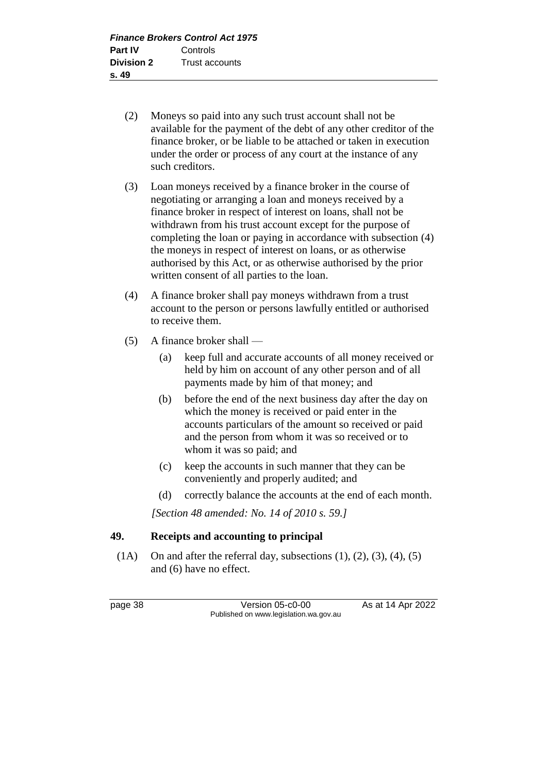- (2) Moneys so paid into any such trust account shall not be available for the payment of the debt of any other creditor of the finance broker, or be liable to be attached or taken in execution under the order or process of any court at the instance of any such creditors.
- (3) Loan moneys received by a finance broker in the course of negotiating or arranging a loan and moneys received by a finance broker in respect of interest on loans, shall not be withdrawn from his trust account except for the purpose of completing the loan or paying in accordance with subsection (4) the moneys in respect of interest on loans, or as otherwise authorised by this Act, or as otherwise authorised by the prior written consent of all parties to the loan.
- (4) A finance broker shall pay moneys withdrawn from a trust account to the person or persons lawfully entitled or authorised to receive them.
- (5) A finance broker shall
	- (a) keep full and accurate accounts of all money received or held by him on account of any other person and of all payments made by him of that money; and
	- (b) before the end of the next business day after the day on which the money is received or paid enter in the accounts particulars of the amount so received or paid and the person from whom it was so received or to whom it was so paid; and
	- (c) keep the accounts in such manner that they can be conveniently and properly audited; and
	- (d) correctly balance the accounts at the end of each month.

*[Section 48 amended: No. 14 of 2010 s. 59.]*

### **49. Receipts and accounting to principal**

 $(1A)$  On and after the referral day, subsections  $(1)$ ,  $(2)$ ,  $(3)$ ,  $(4)$ ,  $(5)$ and (6) have no effect.

page 38 Version 05-c0-00 As at 14 Apr 2022 Published on www.legislation.wa.gov.au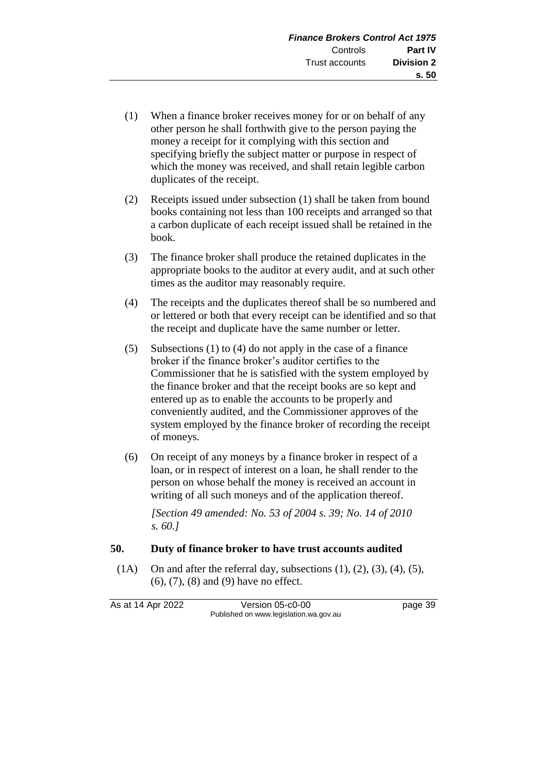- (1) When a finance broker receives money for or on behalf of any other person he shall forthwith give to the person paying the money a receipt for it complying with this section and specifying briefly the subject matter or purpose in respect of which the money was received, and shall retain legible carbon duplicates of the receipt.
- (2) Receipts issued under subsection (1) shall be taken from bound books containing not less than 100 receipts and arranged so that a carbon duplicate of each receipt issued shall be retained in the book.
- (3) The finance broker shall produce the retained duplicates in the appropriate books to the auditor at every audit, and at such other times as the auditor may reasonably require.
- (4) The receipts and the duplicates thereof shall be so numbered and or lettered or both that every receipt can be identified and so that the receipt and duplicate have the same number or letter.
- (5) Subsections (1) to (4) do not apply in the case of a finance broker if the finance broker's auditor certifies to the Commissioner that he is satisfied with the system employed by the finance broker and that the receipt books are so kept and entered up as to enable the accounts to be properly and conveniently audited, and the Commissioner approves of the system employed by the finance broker of recording the receipt of moneys.
- (6) On receipt of any moneys by a finance broker in respect of a loan, or in respect of interest on a loan, he shall render to the person on whose behalf the money is received an account in writing of all such moneys and of the application thereof.

*[Section 49 amended: No. 53 of 2004 s. 39; No. 14 of 2010 s. 60.]*

#### **50. Duty of finance broker to have trust accounts audited**

 $(1A)$  On and after the referral day, subsections  $(1)$ ,  $(2)$ ,  $(3)$ ,  $(4)$ ,  $(5)$ , (6), (7), (8) and (9) have no effect.

As at 14 Apr 2022 Version 05-c0-00 page 39 Published on www.legislation.wa.gov.au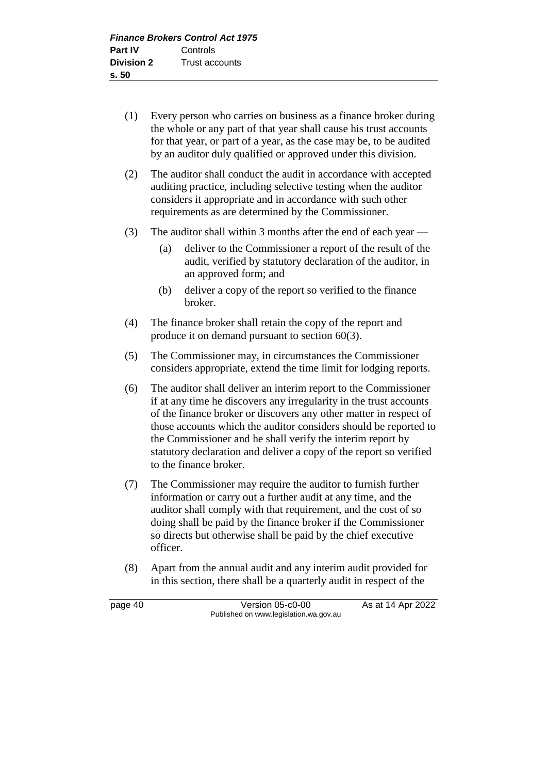- (1) Every person who carries on business as a finance broker during the whole or any part of that year shall cause his trust accounts for that year, or part of a year, as the case may be, to be audited by an auditor duly qualified or approved under this division.
- (2) The auditor shall conduct the audit in accordance with accepted auditing practice, including selective testing when the auditor considers it appropriate and in accordance with such other requirements as are determined by the Commissioner.
- (3) The auditor shall within 3 months after the end of each year
	- (a) deliver to the Commissioner a report of the result of the audit, verified by statutory declaration of the auditor, in an approved form; and
	- (b) deliver a copy of the report so verified to the finance broker.
- (4) The finance broker shall retain the copy of the report and produce it on demand pursuant to section 60(3).
- (5) The Commissioner may, in circumstances the Commissioner considers appropriate, extend the time limit for lodging reports.
- (6) The auditor shall deliver an interim report to the Commissioner if at any time he discovers any irregularity in the trust accounts of the finance broker or discovers any other matter in respect of those accounts which the auditor considers should be reported to the Commissioner and he shall verify the interim report by statutory declaration and deliver a copy of the report so verified to the finance broker.
- (7) The Commissioner may require the auditor to furnish further information or carry out a further audit at any time, and the auditor shall comply with that requirement, and the cost of so doing shall be paid by the finance broker if the Commissioner so directs but otherwise shall be paid by the chief executive officer.
- (8) Apart from the annual audit and any interim audit provided for in this section, there shall be a quarterly audit in respect of the

page 40 Version 05-c0-00 As at 14 Apr 2022 Published on www.legislation.wa.gov.au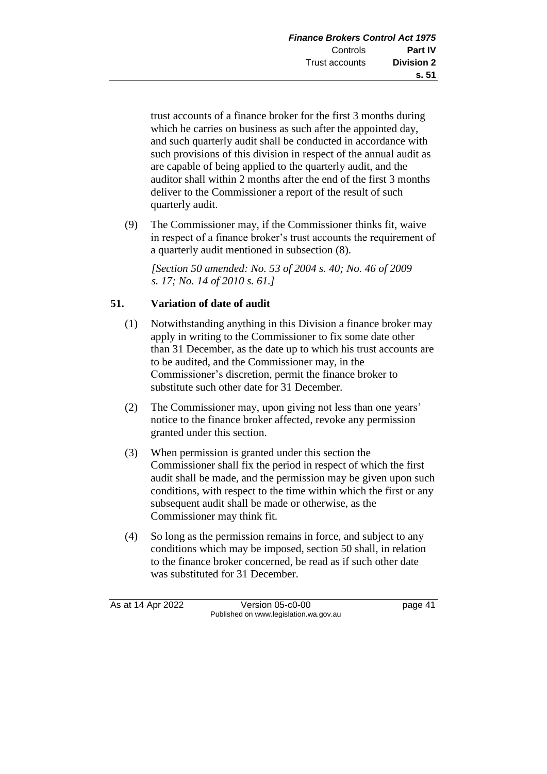trust accounts of a finance broker for the first 3 months during which he carries on business as such after the appointed day, and such quarterly audit shall be conducted in accordance with such provisions of this division in respect of the annual audit as are capable of being applied to the quarterly audit, and the auditor shall within 2 months after the end of the first 3 months deliver to the Commissioner a report of the result of such quarterly audit.

(9) The Commissioner may, if the Commissioner thinks fit, waive in respect of a finance broker's trust accounts the requirement of a quarterly audit mentioned in subsection (8).

*[Section 50 amended: No. 53 of 2004 s. 40; No. 46 of 2009 s. 17; No. 14 of 2010 s. 61.]*

## **51. Variation of date of audit**

- (1) Notwithstanding anything in this Division a finance broker may apply in writing to the Commissioner to fix some date other than 31 December, as the date up to which his trust accounts are to be audited, and the Commissioner may, in the Commissioner's discretion, permit the finance broker to substitute such other date for 31 December.
- (2) The Commissioner may, upon giving not less than one years' notice to the finance broker affected, revoke any permission granted under this section.
- (3) When permission is granted under this section the Commissioner shall fix the period in respect of which the first audit shall be made, and the permission may be given upon such conditions, with respect to the time within which the first or any subsequent audit shall be made or otherwise, as the Commissioner may think fit.
- (4) So long as the permission remains in force, and subject to any conditions which may be imposed, section 50 shall, in relation to the finance broker concerned, be read as if such other date was substituted for 31 December.

As at 14 Apr 2022 Version 05-c0-00 page 41 Published on www.legislation.wa.gov.au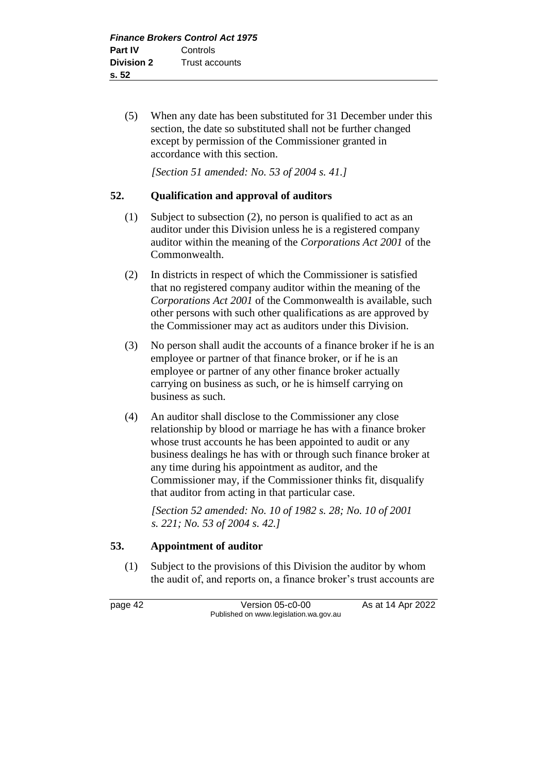(5) When any date has been substituted for 31 December under this section, the date so substituted shall not be further changed except by permission of the Commissioner granted in accordance with this section.

*[Section 51 amended: No. 53 of 2004 s. 41.]*

### **52. Qualification and approval of auditors**

- (1) Subject to subsection (2), no person is qualified to act as an auditor under this Division unless he is a registered company auditor within the meaning of the *Corporations Act 2001* of the Commonwealth.
- (2) In districts in respect of which the Commissioner is satisfied that no registered company auditor within the meaning of the *Corporations Act 2001* of the Commonwealth is available, such other persons with such other qualifications as are approved by the Commissioner may act as auditors under this Division.
- (3) No person shall audit the accounts of a finance broker if he is an employee or partner of that finance broker, or if he is an employee or partner of any other finance broker actually carrying on business as such, or he is himself carrying on business as such.
- (4) An auditor shall disclose to the Commissioner any close relationship by blood or marriage he has with a finance broker whose trust accounts he has been appointed to audit or any business dealings he has with or through such finance broker at any time during his appointment as auditor, and the Commissioner may, if the Commissioner thinks fit, disqualify that auditor from acting in that particular case.

*[Section 52 amended: No. 10 of 1982 s. 28; No. 10 of 2001 s. 221; No. 53 of 2004 s. 42.]* 

### **53. Appointment of auditor**

(1) Subject to the provisions of this Division the auditor by whom the audit of, and reports on, a finance broker's trust accounts are

page 42 Version 05-c0-00 As at 14 Apr 2022 Published on www.legislation.wa.gov.au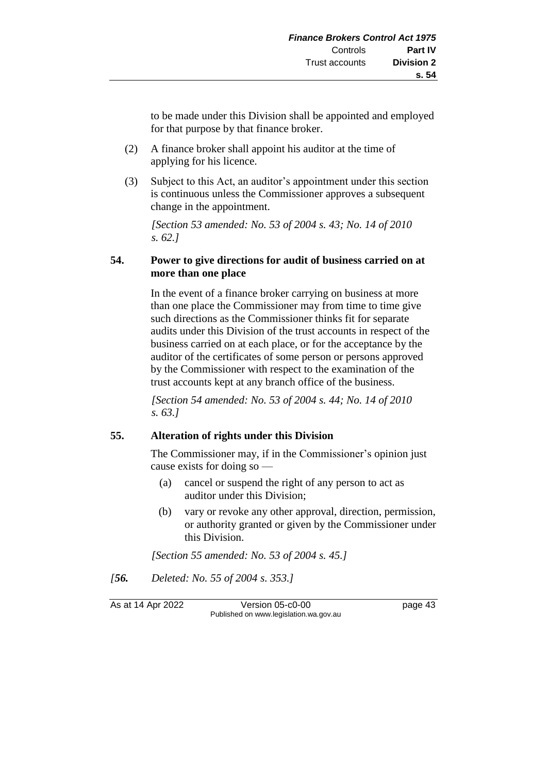to be made under this Division shall be appointed and employed for that purpose by that finance broker.

- (2) A finance broker shall appoint his auditor at the time of applying for his licence.
- (3) Subject to this Act, an auditor's appointment under this section is continuous unless the Commissioner approves a subsequent change in the appointment.

*[Section 53 amended: No. 53 of 2004 s. 43; No. 14 of 2010 s. 62.]*

### **54. Power to give directions for audit of business carried on at more than one place**

In the event of a finance broker carrying on business at more than one place the Commissioner may from time to time give such directions as the Commissioner thinks fit for separate audits under this Division of the trust accounts in respect of the business carried on at each place, or for the acceptance by the auditor of the certificates of some person or persons approved by the Commissioner with respect to the examination of the trust accounts kept at any branch office of the business.

*[Section 54 amended: No. 53 of 2004 s. 44; No. 14 of 2010 s. 63.]*

### **55. Alteration of rights under this Division**

The Commissioner may, if in the Commissioner's opinion just cause exists for doing so —

- (a) cancel or suspend the right of any person to act as auditor under this Division;
- (b) vary or revoke any other approval, direction, permission, or authority granted or given by the Commissioner under this Division.

*[Section 55 amended: No. 53 of 2004 s. 45.]*

*[56. Deleted: No. 55 of 2004 s. 353.]*

As at 14 Apr 2022 Version 05-c0-00 page 43 Published on www.legislation.wa.gov.au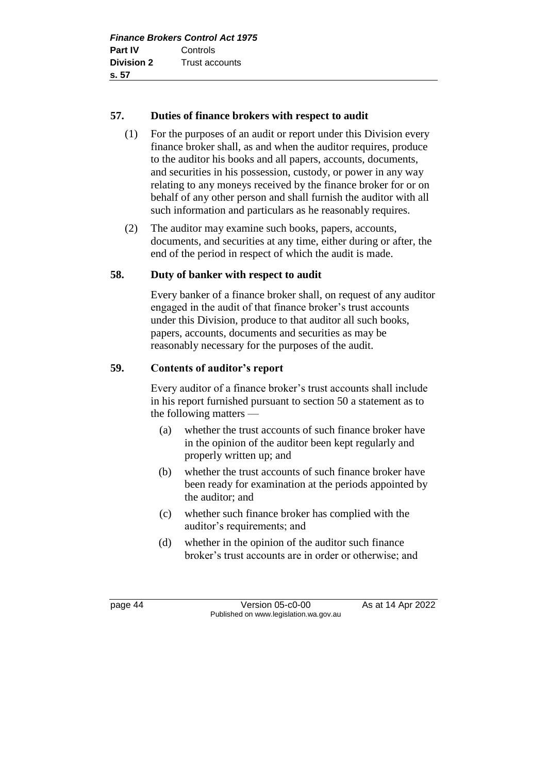### **57. Duties of finance brokers with respect to audit**

- (1) For the purposes of an audit or report under this Division every finance broker shall, as and when the auditor requires, produce to the auditor his books and all papers, accounts, documents, and securities in his possession, custody, or power in any way relating to any moneys received by the finance broker for or on behalf of any other person and shall furnish the auditor with all such information and particulars as he reasonably requires.
- (2) The auditor may examine such books, papers, accounts, documents, and securities at any time, either during or after, the end of the period in respect of which the audit is made.

### **58. Duty of banker with respect to audit**

Every banker of a finance broker shall, on request of any auditor engaged in the audit of that finance broker's trust accounts under this Division, produce to that auditor all such books, papers, accounts, documents and securities as may be reasonably necessary for the purposes of the audit.

### **59. Contents of auditor's report**

Every auditor of a finance broker's trust accounts shall include in his report furnished pursuant to section 50 a statement as to the following matters —

- (a) whether the trust accounts of such finance broker have in the opinion of the auditor been kept regularly and properly written up; and
- (b) whether the trust accounts of such finance broker have been ready for examination at the periods appointed by the auditor; and
- (c) whether such finance broker has complied with the auditor's requirements; and
- (d) whether in the opinion of the auditor such finance broker's trust accounts are in order or otherwise; and

page 44 Version 05-c0-00 As at 14 Apr 2022 Published on www.legislation.wa.gov.au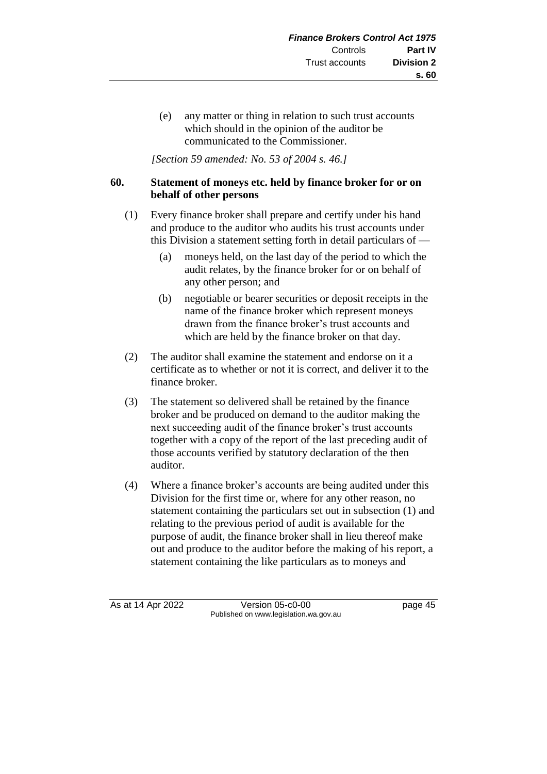(e) any matter or thing in relation to such trust accounts which should in the opinion of the auditor be communicated to the Commissioner.

*[Section 59 amended: No. 53 of 2004 s. 46.]*

### **60. Statement of moneys etc. held by finance broker for or on behalf of other persons**

- (1) Every finance broker shall prepare and certify under his hand and produce to the auditor who audits his trust accounts under this Division a statement setting forth in detail particulars of —
	- (a) moneys held, on the last day of the period to which the audit relates, by the finance broker for or on behalf of any other person; and
	- (b) negotiable or bearer securities or deposit receipts in the name of the finance broker which represent moneys drawn from the finance broker's trust accounts and which are held by the finance broker on that day.
- (2) The auditor shall examine the statement and endorse on it a certificate as to whether or not it is correct, and deliver it to the finance broker.
- (3) The statement so delivered shall be retained by the finance broker and be produced on demand to the auditor making the next succeeding audit of the finance broker's trust accounts together with a copy of the report of the last preceding audit of those accounts verified by statutory declaration of the then auditor.
- (4) Where a finance broker's accounts are being audited under this Division for the first time or, where for any other reason, no statement containing the particulars set out in subsection (1) and relating to the previous period of audit is available for the purpose of audit, the finance broker shall in lieu thereof make out and produce to the auditor before the making of his report, a statement containing the like particulars as to moneys and

As at 14 Apr 2022 Version 05-c0-00 page 45 Published on www.legislation.wa.gov.au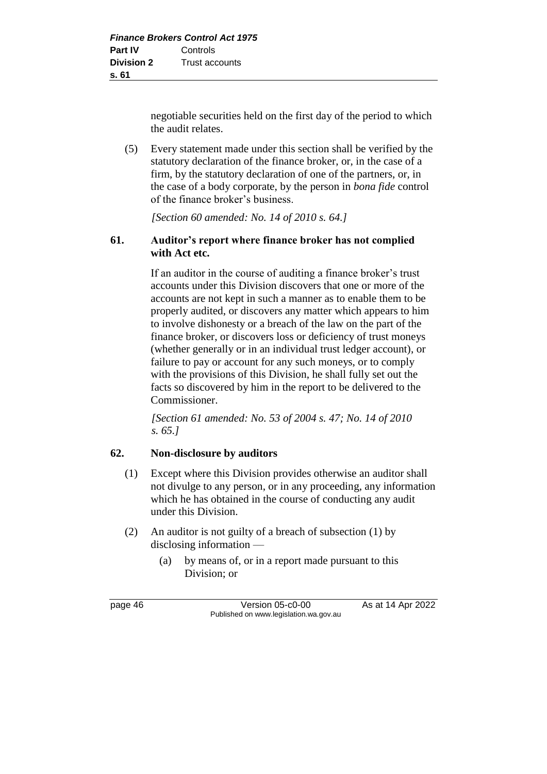negotiable securities held on the first day of the period to which the audit relates.

(5) Every statement made under this section shall be verified by the statutory declaration of the finance broker, or, in the case of a firm, by the statutory declaration of one of the partners, or, in the case of a body corporate, by the person in *bona fide* control of the finance broker's business.

*[Section 60 amended: No. 14 of 2010 s. 64.]*

### **61. Auditor's report where finance broker has not complied with Act etc.**

If an auditor in the course of auditing a finance broker's trust accounts under this Division discovers that one or more of the accounts are not kept in such a manner as to enable them to be properly audited, or discovers any matter which appears to him to involve dishonesty or a breach of the law on the part of the finance broker, or discovers loss or deficiency of trust moneys (whether generally or in an individual trust ledger account), or failure to pay or account for any such moneys, or to comply with the provisions of this Division, he shall fully set out the facts so discovered by him in the report to be delivered to the Commissioner.

*[Section 61 amended: No. 53 of 2004 s. 47; No. 14 of 2010 s. 65.]*

### **62. Non-disclosure by auditors**

- (1) Except where this Division provides otherwise an auditor shall not divulge to any person, or in any proceeding, any information which he has obtained in the course of conducting any audit under this Division.
- (2) An auditor is not guilty of a breach of subsection (1) by disclosing information —
	- (a) by means of, or in a report made pursuant to this Division; or

page 46 Version 05-c0-00 As at 14 Apr 2022 Published on www.legislation.wa.gov.au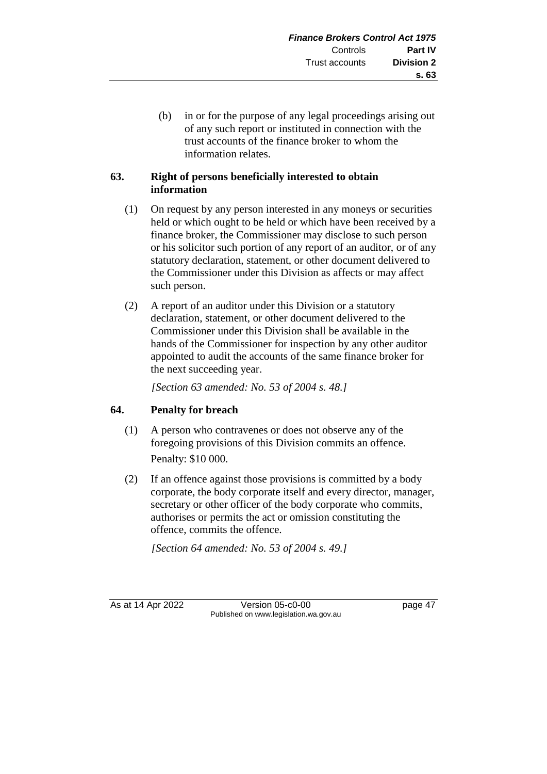(b) in or for the purpose of any legal proceedings arising out of any such report or instituted in connection with the trust accounts of the finance broker to whom the information relates.

### **63. Right of persons beneficially interested to obtain information**

- (1) On request by any person interested in any moneys or securities held or which ought to be held or which have been received by a finance broker, the Commissioner may disclose to such person or his solicitor such portion of any report of an auditor, or of any statutory declaration, statement, or other document delivered to the Commissioner under this Division as affects or may affect such person.
- (2) A report of an auditor under this Division or a statutory declaration, statement, or other document delivered to the Commissioner under this Division shall be available in the hands of the Commissioner for inspection by any other auditor appointed to audit the accounts of the same finance broker for the next succeeding year.

*[Section 63 amended: No. 53 of 2004 s. 48.]*

### **64. Penalty for breach**

- (1) A person who contravenes or does not observe any of the foregoing provisions of this Division commits an offence. Penalty: \$10 000.
- (2) If an offence against those provisions is committed by a body corporate, the body corporate itself and every director, manager, secretary or other officer of the body corporate who commits, authorises or permits the act or omission constituting the offence, commits the offence.

*[Section 64 amended: No. 53 of 2004 s. 49.]*

As at 14 Apr 2022 Version 05-c0-00 Page 47 Published on www.legislation.wa.gov.au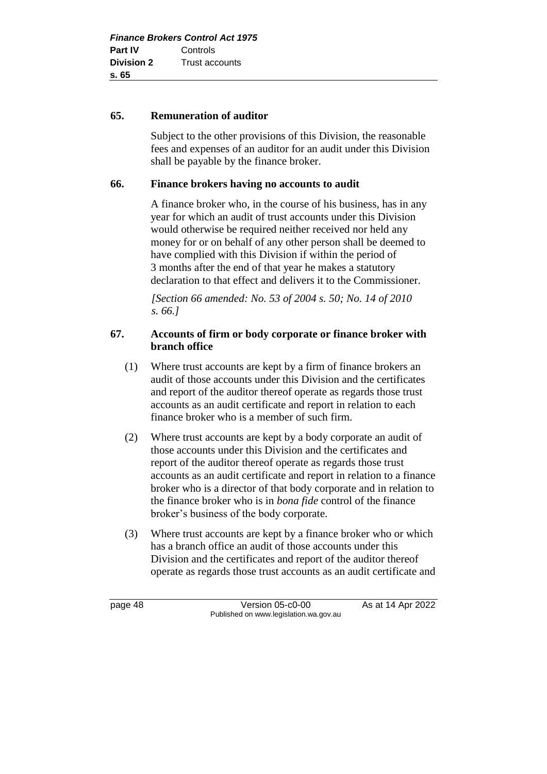#### **65. Remuneration of auditor**

Subject to the other provisions of this Division, the reasonable fees and expenses of an auditor for an audit under this Division shall be payable by the finance broker.

### **66. Finance brokers having no accounts to audit**

A finance broker who, in the course of his business, has in any year for which an audit of trust accounts under this Division would otherwise be required neither received nor held any money for or on behalf of any other person shall be deemed to have complied with this Division if within the period of 3 months after the end of that year he makes a statutory declaration to that effect and delivers it to the Commissioner.

*[Section 66 amended: No. 53 of 2004 s. 50; No. 14 of 2010 s. 66.]*

### **67. Accounts of firm or body corporate or finance broker with branch office**

- (1) Where trust accounts are kept by a firm of finance brokers an audit of those accounts under this Division and the certificates and report of the auditor thereof operate as regards those trust accounts as an audit certificate and report in relation to each finance broker who is a member of such firm.
- (2) Where trust accounts are kept by a body corporate an audit of those accounts under this Division and the certificates and report of the auditor thereof operate as regards those trust accounts as an audit certificate and report in relation to a finance broker who is a director of that body corporate and in relation to the finance broker who is in *bona fide* control of the finance broker's business of the body corporate.
- (3) Where trust accounts are kept by a finance broker who or which has a branch office an audit of those accounts under this Division and the certificates and report of the auditor thereof operate as regards those trust accounts as an audit certificate and

page 48 Version 05-c0-00 As at 14 Apr 2022 Published on www.legislation.wa.gov.au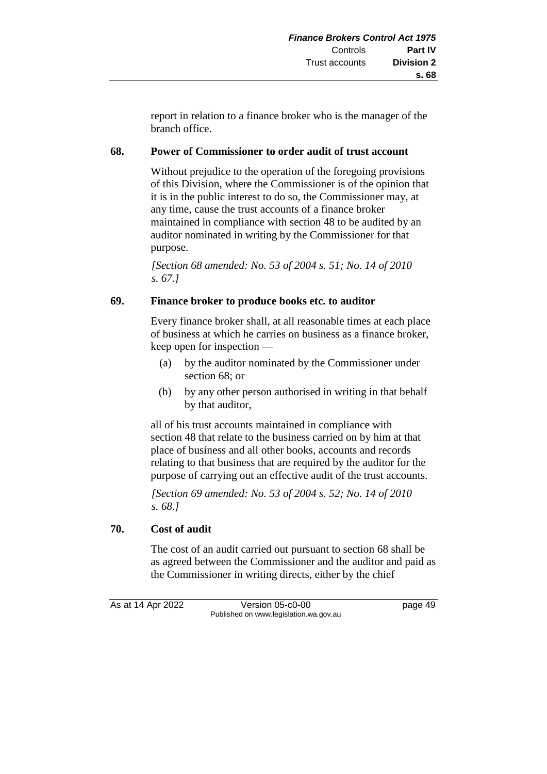report in relation to a finance broker who is the manager of the branch office.

### **68. Power of Commissioner to order audit of trust account**

Without prejudice to the operation of the foregoing provisions of this Division, where the Commissioner is of the opinion that it is in the public interest to do so, the Commissioner may, at any time, cause the trust accounts of a finance broker maintained in compliance with section 48 to be audited by an auditor nominated in writing by the Commissioner for that purpose.

*[Section 68 amended: No. 53 of 2004 s. 51; No. 14 of 2010 s. 67.]*

### **69. Finance broker to produce books etc. to auditor**

Every finance broker shall, at all reasonable times at each place of business at which he carries on business as a finance broker, keep open for inspection —

- (a) by the auditor nominated by the Commissioner under section 68; or
- (b) by any other person authorised in writing in that behalf by that auditor,

all of his trust accounts maintained in compliance with section 48 that relate to the business carried on by him at that place of business and all other books, accounts and records relating to that business that are required by the auditor for the purpose of carrying out an effective audit of the trust accounts.

*[Section 69 amended: No. 53 of 2004 s. 52; No. 14 of 2010 s. 68.]*

### **70. Cost of audit**

The cost of an audit carried out pursuant to section 68 shall be as agreed between the Commissioner and the auditor and paid as the Commissioner in writing directs, either by the chief

As at 14 Apr 2022 Version 05-c0-00 page 49 Published on www.legislation.wa.gov.au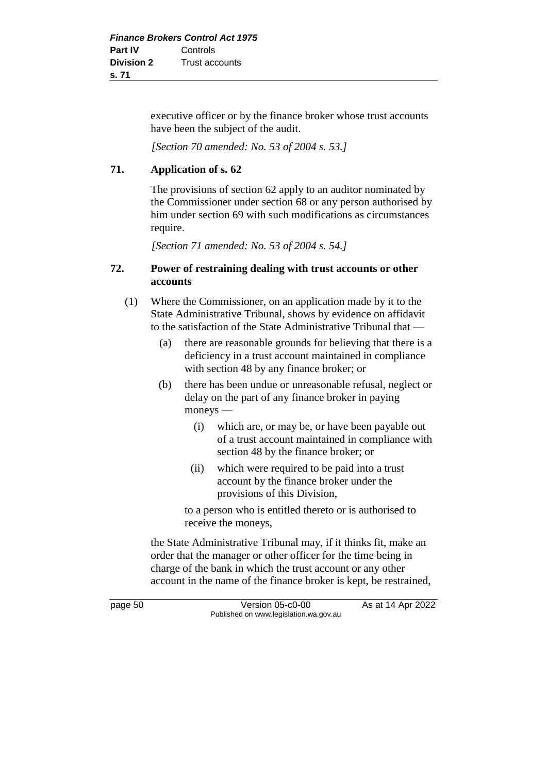executive officer or by the finance broker whose trust accounts have been the subject of the audit.

*[Section 70 amended: No. 53 of 2004 s. 53.]*

## **71. Application of s. 62**

The provisions of section 62 apply to an auditor nominated by the Commissioner under section 68 or any person authorised by him under section 69 with such modifications as circumstances require.

*[Section 71 amended: No. 53 of 2004 s. 54.]*

### **72. Power of restraining dealing with trust accounts or other accounts**

- (1) Where the Commissioner, on an application made by it to the State Administrative Tribunal, shows by evidence on affidavit to the satisfaction of the State Administrative Tribunal that —
	- (a) there are reasonable grounds for believing that there is a deficiency in a trust account maintained in compliance with section 48 by any finance broker; or
	- (b) there has been undue or unreasonable refusal, neglect or delay on the part of any finance broker in paying moneys —
		- (i) which are, or may be, or have been payable out of a trust account maintained in compliance with section 48 by the finance broker; or
		- (ii) which were required to be paid into a trust account by the finance broker under the provisions of this Division,

to a person who is entitled thereto or is authorised to receive the moneys,

the State Administrative Tribunal may, if it thinks fit, make an order that the manager or other officer for the time being in charge of the bank in which the trust account or any other account in the name of the finance broker is kept, be restrained,

page 50 **Version 05-c0-00** As at 14 Apr 2022 Published on www.legislation.wa.gov.au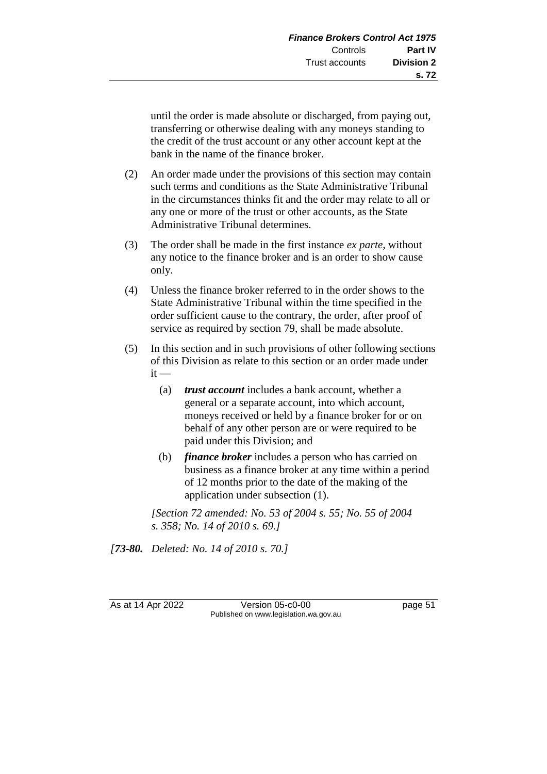until the order is made absolute or discharged, from paying out, transferring or otherwise dealing with any moneys standing to the credit of the trust account or any other account kept at the bank in the name of the finance broker.

- (2) An order made under the provisions of this section may contain such terms and conditions as the State Administrative Tribunal in the circumstances thinks fit and the order may relate to all or any one or more of the trust or other accounts, as the State Administrative Tribunal determines.
- (3) The order shall be made in the first instance *ex parte*, without any notice to the finance broker and is an order to show cause only.
- (4) Unless the finance broker referred to in the order shows to the State Administrative Tribunal within the time specified in the order sufficient cause to the contrary, the order, after proof of service as required by section 79, shall be made absolute.
- (5) In this section and in such provisions of other following sections of this Division as relate to this section or an order made under  $it -$ 
	- (a) *trust account* includes a bank account, whether a general or a separate account, into which account, moneys received or held by a finance broker for or on behalf of any other person are or were required to be paid under this Division; and
	- (b) *finance broker* includes a person who has carried on business as a finance broker at any time within a period of 12 months prior to the date of the making of the application under subsection (1).

*[Section 72 amended: No. 53 of 2004 s. 55; No. 55 of 2004 s. 358; No. 14 of 2010 s. 69.]*

*[73-80. Deleted: No. 14 of 2010 s. 70.]*

As at 14 Apr 2022 Version 05-c0-00 Page 51 Published on www.legislation.wa.gov.au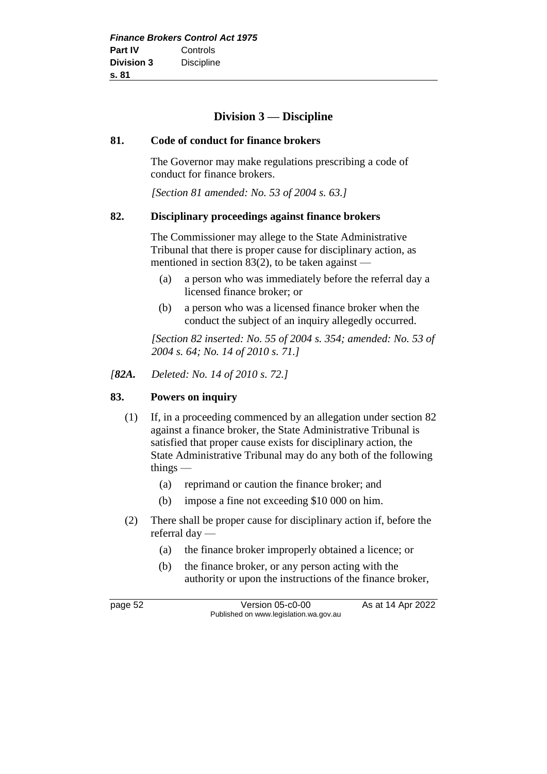# **Division 3 — Discipline**

#### **81. Code of conduct for finance brokers**

The Governor may make regulations prescribing a code of conduct for finance brokers.

*[Section 81 amended: No. 53 of 2004 s. 63.]*

#### **82. Disciplinary proceedings against finance brokers**

The Commissioner may allege to the State Administrative Tribunal that there is proper cause for disciplinary action, as mentioned in section  $83(2)$ , to be taken against —

- (a) a person who was immediately before the referral day a licensed finance broker; or
- (b) a person who was a licensed finance broker when the conduct the subject of an inquiry allegedly occurred.

*[Section 82 inserted: No. 55 of 2004 s. 354; amended: No. 53 of 2004 s. 64; No. 14 of 2010 s. 71.]*

*[82A. Deleted: No. 14 of 2010 s. 72.]*

#### **83. Powers on inquiry**

- (1) If, in a proceeding commenced by an allegation under section 82 against a finance broker, the State Administrative Tribunal is satisfied that proper cause exists for disciplinary action, the State Administrative Tribunal may do any both of the following things —
	- (a) reprimand or caution the finance broker; and
	- (b) impose a fine not exceeding \$10 000 on him.
- (2) There shall be proper cause for disciplinary action if, before the referral day —
	- (a) the finance broker improperly obtained a licence; or
	- (b) the finance broker, or any person acting with the authority or upon the instructions of the finance broker,

page 52 Version 05-c0-00 As at 14 Apr 2022 Published on www.legislation.wa.gov.au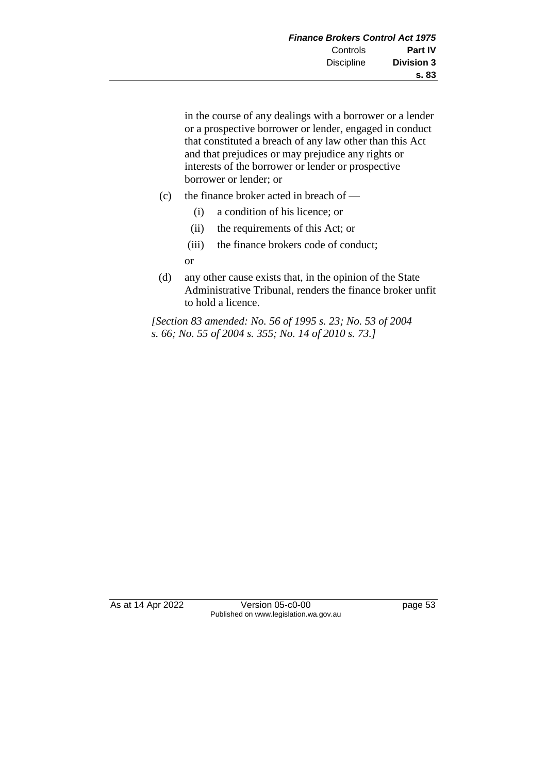in the course of any dealings with a borrower or a lender or a prospective borrower or lender, engaged in conduct that constituted a breach of any law other than this Act and that prejudices or may prejudice any rights or interests of the borrower or lender or prospective borrower or lender; or

- (c) the finance broker acted in breach of
	- (i) a condition of his licence; or
	- (ii) the requirements of this Act; or
	- (iii) the finance brokers code of conduct;

or

(d) any other cause exists that, in the opinion of the State Administrative Tribunal, renders the finance broker unfit to hold a licence.

*[Section 83 amended: No. 56 of 1995 s. 23; No. 53 of 2004 s. 66; No. 55 of 2004 s. 355; No. 14 of 2010 s. 73.]*

As at 14 Apr 2022 Version 05-c0-00 page 53 Published on www.legislation.wa.gov.au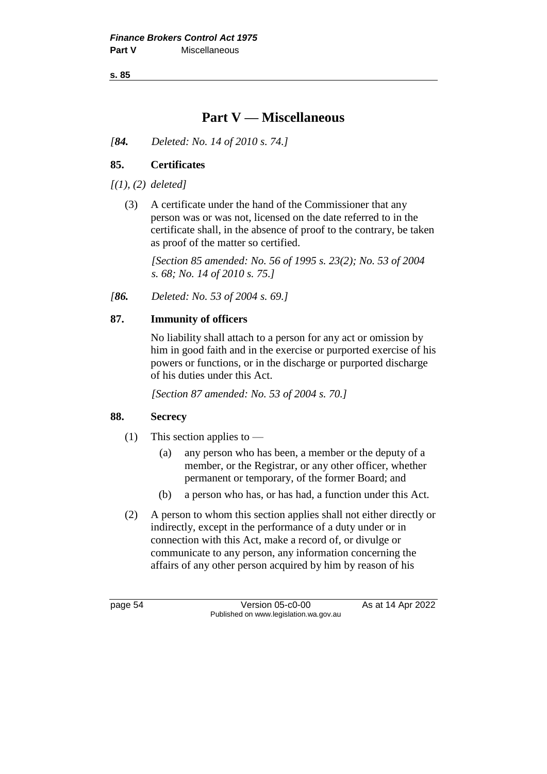**s. 85**

# **Part V — Miscellaneous**

*[84. Deleted: No. 14 of 2010 s. 74.]*

### **85. Certificates**

*[(1), (2) deleted]*

(3) A certificate under the hand of the Commissioner that any person was or was not, licensed on the date referred to in the certificate shall, in the absence of proof to the contrary, be taken as proof of the matter so certified.

*[Section 85 amended: No. 56 of 1995 s. 23(2); No. 53 of 2004 s. 68; No. 14 of 2010 s. 75.]*

*[86. Deleted: No. 53 of 2004 s. 69.]*

### **87. Immunity of officers**

No liability shall attach to a person for any act or omission by him in good faith and in the exercise or purported exercise of his powers or functions, or in the discharge or purported discharge of his duties under this Act.

*[Section 87 amended: No. 53 of 2004 s. 70.]*

### **88. Secrecy**

- (1) This section applies to
	- (a) any person who has been, a member or the deputy of a member, or the Registrar, or any other officer, whether permanent or temporary, of the former Board; and
	- (b) a person who has, or has had, a function under this Act.
- (2) A person to whom this section applies shall not either directly or indirectly, except in the performance of a duty under or in connection with this Act, make a record of, or divulge or communicate to any person, any information concerning the affairs of any other person acquired by him by reason of his

page 54 Version 05-c0-00 As at 14 Apr 2022 Published on www.legislation.wa.gov.au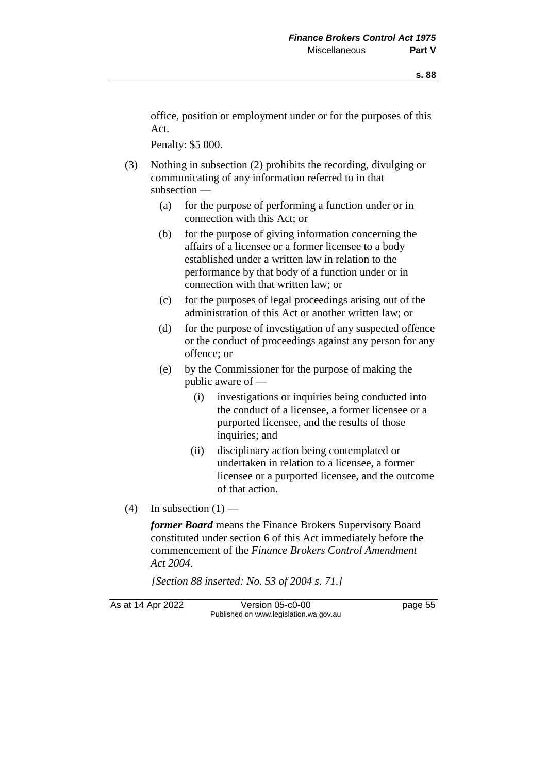office, position or employment under or for the purposes of this Act.

Penalty: \$5 000.

- (3) Nothing in subsection (2) prohibits the recording, divulging or communicating of any information referred to in that subsection —
	- (a) for the purpose of performing a function under or in connection with this Act; or
	- (b) for the purpose of giving information concerning the affairs of a licensee or a former licensee to a body established under a written law in relation to the performance by that body of a function under or in connection with that written law; or
	- (c) for the purposes of legal proceedings arising out of the administration of this Act or another written law; or
	- (d) for the purpose of investigation of any suspected offence or the conduct of proceedings against any person for any offence; or
	- (e) by the Commissioner for the purpose of making the public aware of —
		- (i) investigations or inquiries being conducted into the conduct of a licensee, a former licensee or a purported licensee, and the results of those inquiries; and
		- (ii) disciplinary action being contemplated or undertaken in relation to a licensee, a former licensee or a purported licensee, and the outcome of that action.
- $(4)$  In subsection  $(1)$  —

*former Board* means the Finance Brokers Supervisory Board constituted under section 6 of this Act immediately before the commencement of the *Finance Brokers Control Amendment Act 2004*.

*[Section 88 inserted: No. 53 of 2004 s. 71.]*

As at 14 Apr 2022 Version 05-c0-00 page 55 Published on www.legislation.wa.gov.au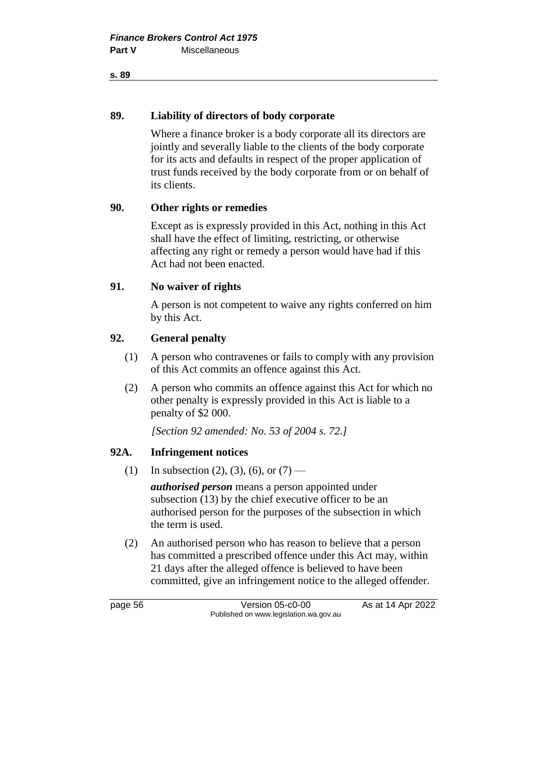#### **s. 89**

#### **89. Liability of directors of body corporate**

Where a finance broker is a body corporate all its directors are jointly and severally liable to the clients of the body corporate for its acts and defaults in respect of the proper application of trust funds received by the body corporate from or on behalf of its clients.

### **90. Other rights or remedies**

Except as is expressly provided in this Act, nothing in this Act shall have the effect of limiting, restricting, or otherwise affecting any right or remedy a person would have had if this Act had not been enacted.

### **91. No waiver of rights**

A person is not competent to waive any rights conferred on him by this Act.

### **92. General penalty**

- (1) A person who contravenes or fails to comply with any provision of this Act commits an offence against this Act.
- (2) A person who commits an offence against this Act for which no other penalty is expressly provided in this Act is liable to a penalty of \$2 000.

*[Section 92 amended: No. 53 of 2004 s. 72.]*

### **92A. Infringement notices**

(1) In subsection (2), (3), (6), or  $(7)$  —

*authorised person* means a person appointed under subsection (13) by the chief executive officer to be an authorised person for the purposes of the subsection in which the term is used.

(2) An authorised person who has reason to believe that a person has committed a prescribed offence under this Act may, within 21 days after the alleged offence is believed to have been committed, give an infringement notice to the alleged offender.

page 56 **Version 05-c0-00** As at 14 Apr 2022 Published on www.legislation.wa.gov.au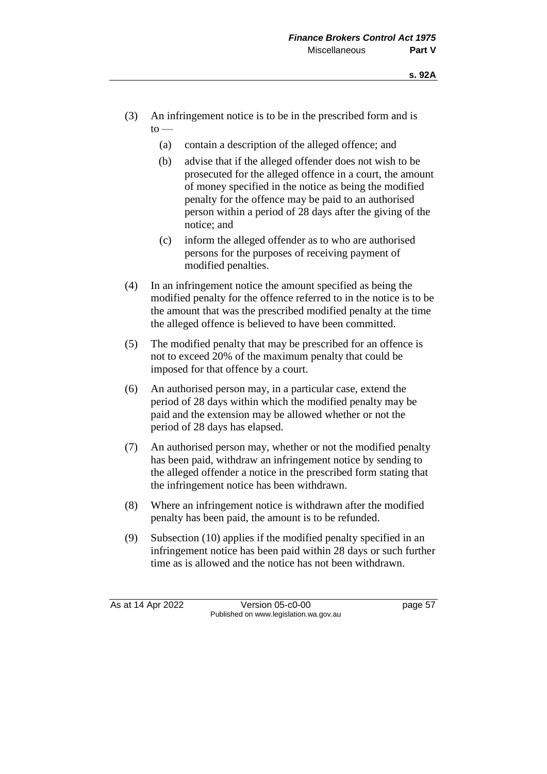- (3) An infringement notice is to be in the prescribed form and is  $to -$ 
	- (a) contain a description of the alleged offence; and
	- (b) advise that if the alleged offender does not wish to be prosecuted for the alleged offence in a court, the amount of money specified in the notice as being the modified penalty for the offence may be paid to an authorised person within a period of 28 days after the giving of the notice; and
	- (c) inform the alleged offender as to who are authorised persons for the purposes of receiving payment of modified penalties.
- (4) In an infringement notice the amount specified as being the modified penalty for the offence referred to in the notice is to be the amount that was the prescribed modified penalty at the time the alleged offence is believed to have been committed.
- (5) The modified penalty that may be prescribed for an offence is not to exceed 20% of the maximum penalty that could be imposed for that offence by a court.
- (6) An authorised person may, in a particular case, extend the period of 28 days within which the modified penalty may be paid and the extension may be allowed whether or not the period of 28 days has elapsed.
- (7) An authorised person may, whether or not the modified penalty has been paid, withdraw an infringement notice by sending to the alleged offender a notice in the prescribed form stating that the infringement notice has been withdrawn.
- (8) Where an infringement notice is withdrawn after the modified penalty has been paid, the amount is to be refunded.
- (9) Subsection (10) applies if the modified penalty specified in an infringement notice has been paid within 28 days or such further time as is allowed and the notice has not been withdrawn.

As at 14 Apr 2022 Version 05-c0-00 page 57 Published on www.legislation.wa.gov.au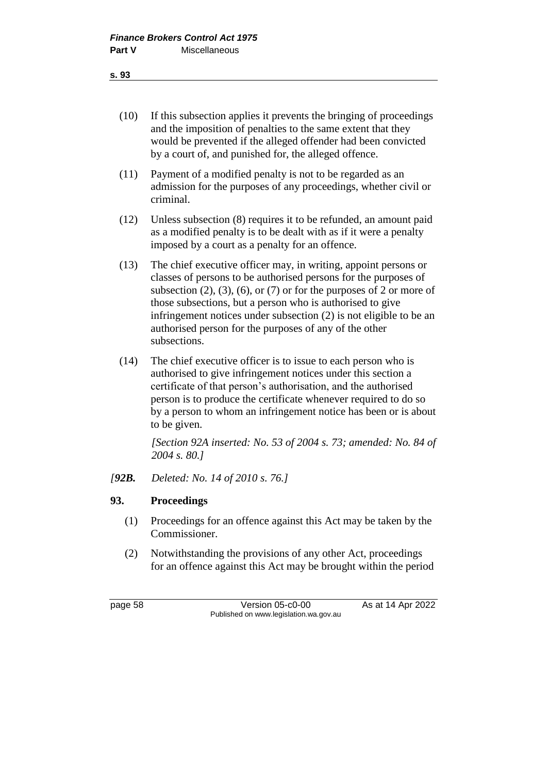- (10) If this subsection applies it prevents the bringing of proceedings and the imposition of penalties to the same extent that they would be prevented if the alleged offender had been convicted by a court of, and punished for, the alleged offence.
- (11) Payment of a modified penalty is not to be regarded as an admission for the purposes of any proceedings, whether civil or criminal.
- (12) Unless subsection (8) requires it to be refunded, an amount paid as a modified penalty is to be dealt with as if it were a penalty imposed by a court as a penalty for an offence.
- (13) The chief executive officer may, in writing, appoint persons or classes of persons to be authorised persons for the purposes of subsection  $(2)$ ,  $(3)$ ,  $(6)$ , or  $(7)$  or for the purposes of 2 or more of those subsections, but a person who is authorised to give infringement notices under subsection (2) is not eligible to be an authorised person for the purposes of any of the other subsections.
- (14) The chief executive officer is to issue to each person who is authorised to give infringement notices under this section a certificate of that person's authorisation, and the authorised person is to produce the certificate whenever required to do so by a person to whom an infringement notice has been or is about to be given.

*[Section 92A inserted: No. 53 of 2004 s. 73; amended: No. 84 of 2004 s. 80.]*

*[92B. Deleted: No. 14 of 2010 s. 76.]*

### **93. Proceedings**

- (1) Proceedings for an offence against this Act may be taken by the Commissioner.
- (2) Notwithstanding the provisions of any other Act, proceedings for an offence against this Act may be brought within the period

page 58 Version 05-c0-00 As at 14 Apr 2022 Published on www.legislation.wa.gov.au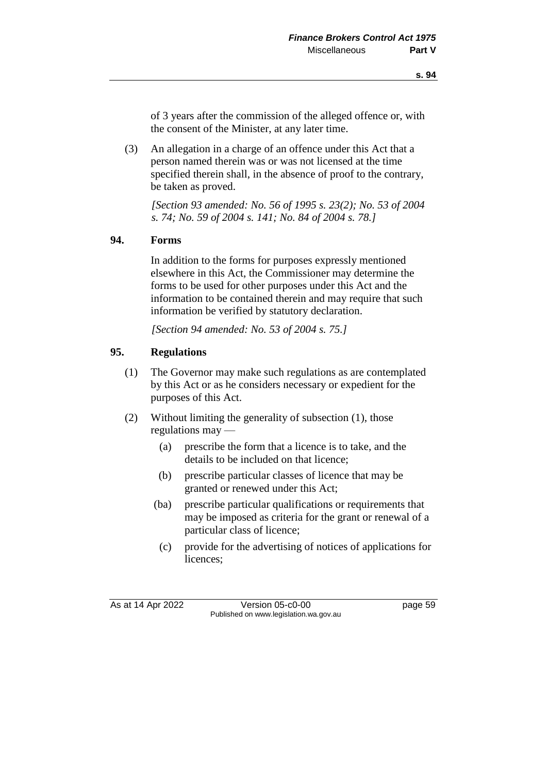of 3 years after the commission of the alleged offence or, with the consent of the Minister, at any later time.

(3) An allegation in a charge of an offence under this Act that a person named therein was or was not licensed at the time specified therein shall, in the absence of proof to the contrary, be taken as proved.

*[Section 93 amended: No. 56 of 1995 s. 23(2); No. 53 of 2004 s. 74; No. 59 of 2004 s. 141; No. 84 of 2004 s. 78.]*

#### **94. Forms**

In addition to the forms for purposes expressly mentioned elsewhere in this Act, the Commissioner may determine the forms to be used for other purposes under this Act and the information to be contained therein and may require that such information be verified by statutory declaration.

*[Section 94 amended: No. 53 of 2004 s. 75.]*

#### **95. Regulations**

- (1) The Governor may make such regulations as are contemplated by this Act or as he considers necessary or expedient for the purposes of this Act.
- (2) Without limiting the generality of subsection (1), those regulations may —
	- (a) prescribe the form that a licence is to take, and the details to be included on that licence;
	- (b) prescribe particular classes of licence that may be granted or renewed under this Act;
	- (ba) prescribe particular qualifications or requirements that may be imposed as criteria for the grant or renewal of a particular class of licence;
	- (c) provide for the advertising of notices of applications for licences;

As at 14 Apr 2022 Version 05-c0-00 page 59 Published on www.legislation.wa.gov.au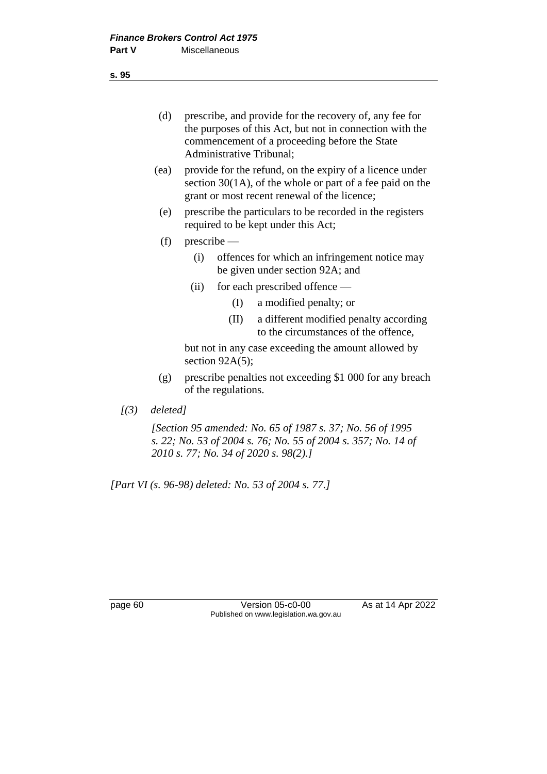(d) prescribe, and provide for the recovery of, any fee for the purposes of this Act, but not in connection with the commencement of a proceeding before the State Administrative Tribunal;

- (ea) provide for the refund, on the expiry of a licence under section 30(1A), of the whole or part of a fee paid on the grant or most recent renewal of the licence;
- (e) prescribe the particulars to be recorded in the registers required to be kept under this Act;
- (f) prescribe
	- (i) offences for which an infringement notice may be given under section 92A; and
	- (ii) for each prescribed offence
		- (I) a modified penalty; or
		- (II) a different modified penalty according to the circumstances of the offence,

but not in any case exceeding the amount allowed by section 92A(5);

- (g) prescribe penalties not exceeding \$1 000 for any breach of the regulations.
- *[(3) deleted]*

*[Section 95 amended: No. 65 of 1987 s. 37; No. 56 of 1995 s. 22; No. 53 of 2004 s. 76; No. 55 of 2004 s. 357; No. 14 of 2010 s. 77; No. 34 of 2020 s. 98(2).]*

*[Part VI (s. 96-98) deleted: No. 53 of 2004 s. 77.]*

page 60 **Version 05-c0-00** As at 14 Apr 2022 Published on www.legislation.wa.gov.au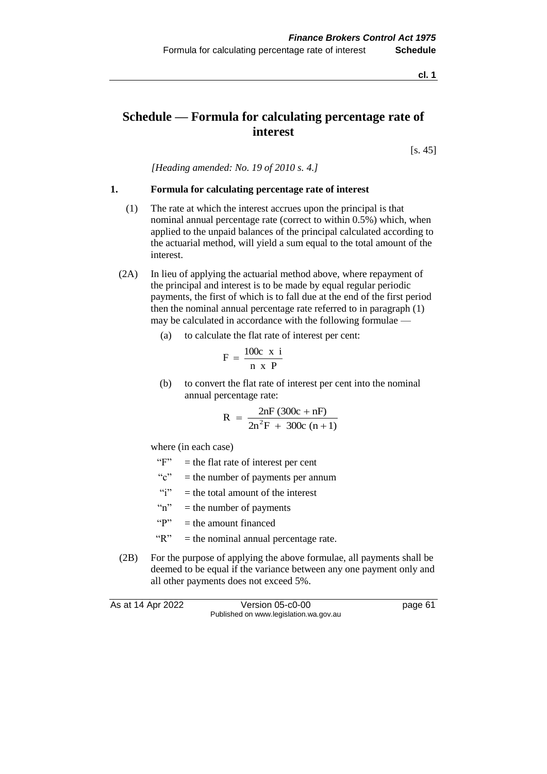**cl. 1**

# **Schedule — Formula for calculating percentage rate of interest**

[s. 45]

*[Heading amended: No. 19 of 2010 s. 4.]*

#### **1. Formula for calculating percentage rate of interest**

- (1) The rate at which the interest accrues upon the principal is that nominal annual percentage rate (correct to within 0.5%) which, when applied to the unpaid balances of the principal calculated according to the actuarial method, will yield a sum equal to the total amount of the interest.
- (2A) In lieu of applying the actuarial method above, where repayment of the principal and interest is to be made by equal regular periodic payments, the first of which is to fall due at the end of the first period then the nominal annual percentage rate referred to in paragraph (1) may be calculated in accordance with the following formulae —
	- (a) to calculate the flat rate of interest per cent:

$$
F = \frac{100c \times i}{n \times P}
$$

(b) to convert the flat rate of interest per cent into the nominal annual percentage rate:

$$
R = \frac{2nF (300c + nF)}{2n^2F + 300c (n + 1)}
$$

where (in each case)

- " $F$ " = the flat rate of interest per cent
- "c" = the number of payments per annum
- "i"  $=$  the total amount of the interest
- " $n"$  = the number of payments"
- " $P" =$  the amount financed
- $"R" =$  the nominal annual percentage rate.
- (2B) For the purpose of applying the above formulae, all payments shall be deemed to be equal if the variance between any one payment only and all other payments does not exceed 5%.

As at 14 Apr 2022 Version 05-c0-00 Published on www.legislation.wa.gov.au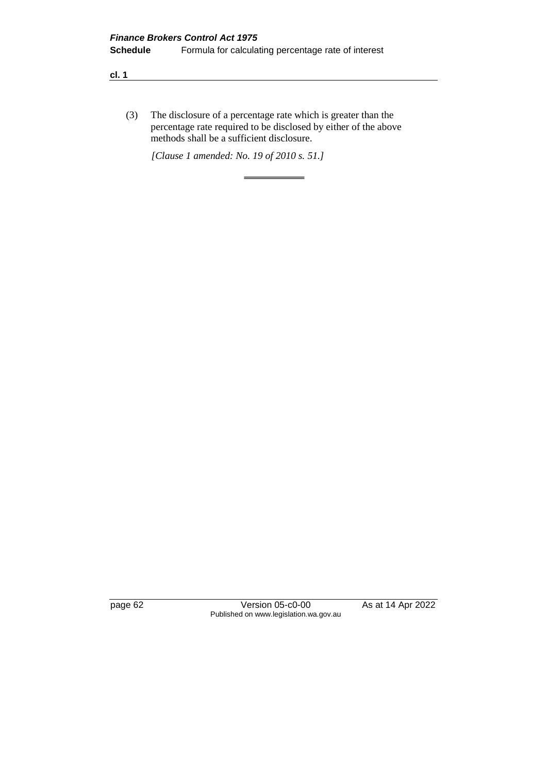#### **cl. 1**

(3) The disclosure of a percentage rate which is greater than the percentage rate required to be disclosed by either of the above methods shall be a sufficient disclosure.

*[Clause 1 amended: No. 19 of 2010 s. 51.]*

 $=$ 

page 62 Version 05-c0-00 As at 14 Apr 2022 Published on www.legislation.wa.gov.au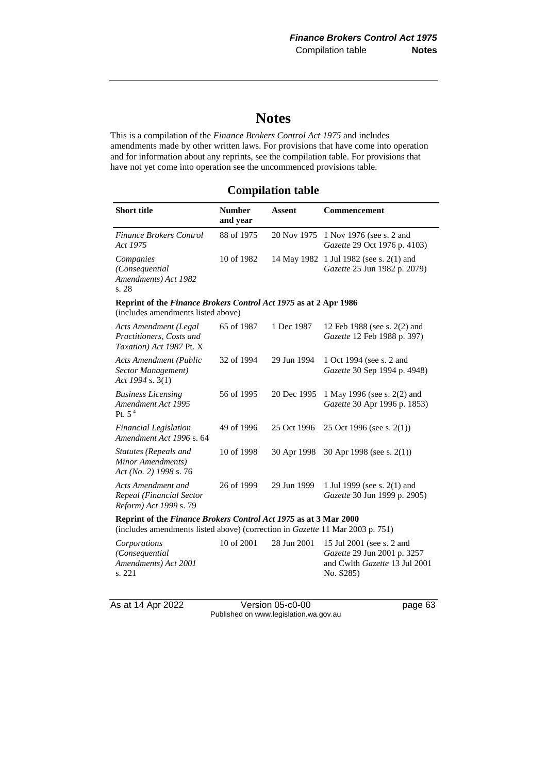# **Notes**

This is a compilation of the *Finance Brokers Control Act 1975* and includes amendments made by other written laws. For provisions that have come into operation and for information about any reprints, see the compilation table. For provisions that have not yet come into operation see the uncommenced provisions table.

## **Compilation table**

| <b>Short title</b>                                                                                                                                | <b>Number</b><br>and year | <b>Assent</b> | Commencement                                                                                           |
|---------------------------------------------------------------------------------------------------------------------------------------------------|---------------------------|---------------|--------------------------------------------------------------------------------------------------------|
| <b>Finance Brokers Control</b><br>Act 1975                                                                                                        | 88 of 1975                | 20 Nov 1975   | 1 Nov 1976 (see s. 2 and<br>Gazette 29 Oct 1976 p. 4103)                                               |
| Companies<br>(Consequential<br>Amendments) Act 1982<br>s. 28                                                                                      | 10 of 1982                | 14 May 1982   | 1 Jul 1982 (see s. 2(1) and<br>Gazette 25 Jun 1982 p. 2079)                                            |
| Reprint of the Finance Brokers Control Act 1975 as at 2 Apr 1986<br>(includes amendments listed above)                                            |                           |               |                                                                                                        |
| <b>Acts Amendment (Legal</b><br>Practitioners, Costs and<br>Taxation) Act 1987 Pt. X                                                              | 65 of 1987                | 1 Dec 1987    | 12 Feb 1988 (see s. 2(2) and<br>Gazette 12 Feb 1988 p. 397)                                            |
| <b>Acts Amendment (Public</b><br>Sector Management)<br>Act 1994 s. 3(1)                                                                           | 32 of 1994                | 29 Jun 1994   | 1 Oct 1994 (see s. 2 and<br>Gazette 30 Sep 1994 p. 4948)                                               |
| <b>Business Licensing</b><br><b>Amendment Act 1995</b><br>Pt. $54$                                                                                | 56 of 1995                | 20 Dec 1995   | 1 May 1996 (see s. 2(2) and<br>Gazette 30 Apr 1996 p. 1853)                                            |
| <b>Financial Legislation</b><br>Amendment Act 1996 s. 64                                                                                          | 49 of 1996                | 25 Oct 1996   | 25 Oct 1996 (see s. $2(1)$ )                                                                           |
| <b>Statutes (Repeals and</b><br>Minor Amendments)<br>Act (No. 2) 1998 s. 76                                                                       | 10 of 1998                | 30 Apr 1998   | 30 Apr 1998 (see s. 2(1))                                                                              |
| Acts Amendment and<br>Repeal (Financial Sector<br>Reform) Act 1999 s. 79                                                                          | 26 of 1999                | 29 Jun 1999   | 1 Jul 1999 (see s. 2(1) and<br>Gazette 30 Jun 1999 p. 2905)                                            |
| Reprint of the Finance Brokers Control Act 1975 as at 3 Mar 2000<br>(includes amendments listed above) (correction in Gazette 11 Mar 2003 p. 751) |                           |               |                                                                                                        |
| Corporations<br>(Consequential<br>Amendments) Act 2001<br>s. 221                                                                                  | 10 of 2001                | 28 Jun 2001   | 15 Jul 2001 (see s. 2 and<br>Gazette 29 Jun 2001 p. 3257<br>and Cwlth Gazette 13 Jul 2001<br>No. S285) |

As at 14 Apr 2022 Version 05-c0-00 page 63 Published on www.legislation.wa.gov.au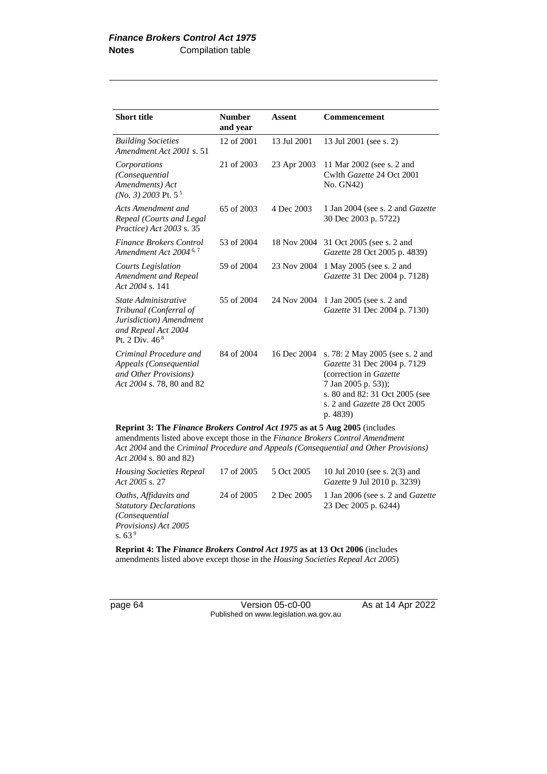| <b>Short title</b>                                                                                                             | <b>Number</b><br>and vear | <b>Assent</b> | Commencement                                                                                                                                                                                         |
|--------------------------------------------------------------------------------------------------------------------------------|---------------------------|---------------|------------------------------------------------------------------------------------------------------------------------------------------------------------------------------------------------------|
| <b>Building Societies</b><br>Amendment Act 2001 s. 51                                                                          | 12 of 2001                | 13 Jul 2001   | 13 Jul 2001 (see s. 2)                                                                                                                                                                               |
| Corporations<br>(Consequential<br>Amendments) Act<br>$(No. 3)$ 2003 Pt. 5 <sup>5</sup>                                         | 21 of 2003                | 23 Apr 2003   | 11 Mar 2002 (see s. 2 and<br>Cwlth Gazette 24 Oct 2001<br>No. GN42)                                                                                                                                  |
| Acts Amendment and<br>Repeal (Courts and Legal<br>Practice) Act 2003 s. 35                                                     | 65 of 2003                | 4 Dec 2003    | 1 Jan 2004 (see s. 2 and <i>Gazette</i><br>30 Dec 2003 p. 5722)                                                                                                                                      |
| <b>Finance Brokers Control</b><br>Amendment Act 2004 <sup>6,7</sup>                                                            | 53 of 2004                | 18 Nov 2004   | 31 Oct 2005 (see s. 2 and<br>Gazette 28 Oct 2005 p. 4839)                                                                                                                                            |
| <b>Courts Legislation</b><br>Amendment and Repeal<br>Act 2004 s. 141                                                           | 59 of 2004                | 23 Nov 2004   | 1 May 2005 (see s. 2 and<br>Gazette 31 Dec 2004 p. 7128)                                                                                                                                             |
| State Administrative<br>Tribunal (Conferral of<br>Jurisdiction) Amendment<br>and Repeal Act 2004<br>Pt. 2 Div. 46 <sup>8</sup> | 55 of 2004                | 24 Nov 2004   | 1 Jan 2005 (see s. 2 and<br>Gazette 31 Dec 2004 p. 7130)                                                                                                                                             |
| Criminal Procedure and<br>Appeals (Consequential<br>and Other Provisions)<br>Act 2004 s. 78, 80 and 82                         | 84 of 2004                | 16 Dec 2004   | s. 78: 2 May 2005 (see s. 2 and<br>Gazette 31 Dec 2004 p. 7129<br>(correction in Gazette<br>7 Jan 2005 p. 53));<br>s. 80 and 82: 31 Oct 2005 (see<br>s. 2 and <i>Gazette</i> 28 Oct 2005<br>p. 4839) |

**Reprint 3: The** *Finance Brokers Control Act 1975* **as at 5 Aug 2005** (includes amendments listed above except those in the *Finance Brokers Control Amendment Act 2004* and the *Criminal Procedure and Appeals (Consequential and Other Provisions) Act 2004* s. 80 and 82)

| <b>Housing Societies Repeal</b><br>Act 2005 s. 27                                                             | 17 of 2005 | 5 Oct 2005 | 10 Jul 2010 (see s. 2(3) and<br><i>Gazette</i> 9 Jul 2010 p. 3239) |
|---------------------------------------------------------------------------------------------------------------|------------|------------|--------------------------------------------------------------------|
| Oaths, Affidavits and<br><b>Statutory Declarations</b><br>(Consequential)<br>Provisions) Act 2005<br>s. $639$ | 24 of 2005 | 2 Dec 2005 | 1 Jan 2006 (see s. 2 and <i>Gazette</i><br>23 Dec 2005 p. 6244)    |

**Reprint 4: The** *Finance Brokers Control Act 1975* **as at 13 Oct 2006** (includes amendments listed above except those in the *Housing Societies Repeal Act 2005*)

page 64 Version 05-c0-00 As at 14 Apr 2022 Published on www.legislation.wa.gov.au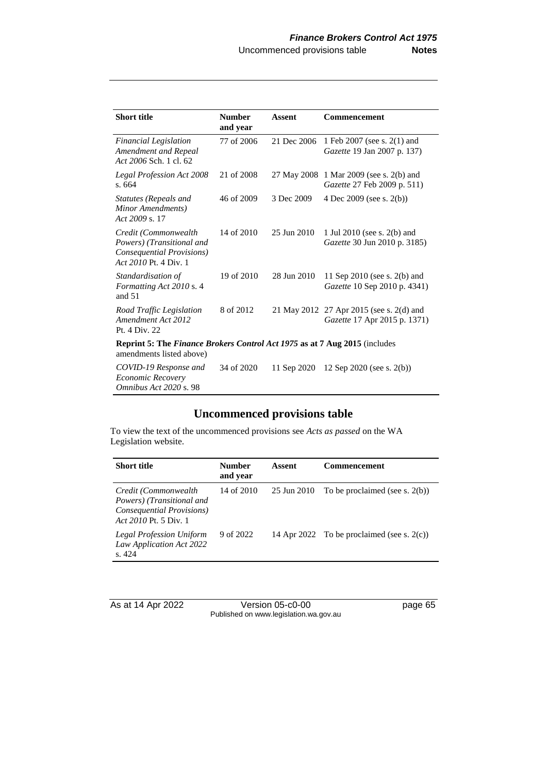| <b>Short title</b>                                                                                      | <b>Number</b><br>and year | <b>Assent</b> | Commencement                                                             |
|---------------------------------------------------------------------------------------------------------|---------------------------|---------------|--------------------------------------------------------------------------|
| <b>Financial Legislation</b><br>Amendment and Repeal<br>Act 2006 Sch. 1 cl. 62                          | 77 of 2006                | 21 Dec 2006   | 1 Feb 2007 (see s. 2(1) and<br>Gazette 19 Jan 2007 p. 137)               |
| <b>Legal Profession Act 2008</b><br>s. 664                                                              | 21 of 2008                |               | 27 May 2008 1 Mar 2009 (see s. 2(b) and<br>Gazette 27 Feb 2009 p. 511)   |
| Statutes (Repeals and<br>Minor Amendments)<br>Act 2009 s. 17                                            | 46 of 2009                | 3 Dec 2009    | 4 Dec 2009 (see s. 2(b))                                                 |
| Credit (Commonwealth<br>Powers) (Transitional and<br>Consequential Provisions)<br>Act 2010 Pt. 4 Div. 1 | 14 of 2010                | 25 Jun 2010   | 1 Jul 2010 (see s. 2(b) and<br>Gazette 30 Jun 2010 p. 3185)              |
| Standardisation of<br>Formatting Act 2010 s. 4<br>and $51$                                              | 19 of 2010                | 28 Jun 2010   | 11 Sep 2010 (see s. 2(b) and<br>Gazette 10 Sep 2010 p. 4341)             |
| Road Traffic Legislation<br>Amendment Act 2012<br>Pt. 4 Div. 22                                         | 8 of 2012                 |               | 21 May 2012 27 Apr 2015 (see s. 2(d) and<br>Gazette 17 Apr 2015 p. 1371) |
| Reprint 5: The Finance Brokers Control Act 1975 as at 7 Aug 2015 (includes<br>amendments listed above)  |                           |               |                                                                          |
| COVID-19 Response and<br>Economic Recovery<br>Omnibus Act 2020 s. 98                                    | 34 of 2020                | 11 Sep 2020   | 12 Sep 2020 (see s. $2(b)$ )                                             |

# **Uncommenced provisions table**

To view the text of the uncommenced provisions see *Acts as passed* on the WA Legislation website.

| <b>Short title</b>                                                                                      | <b>Number</b><br>and year | Assent      | <b>Commencement</b>                           |
|---------------------------------------------------------------------------------------------------------|---------------------------|-------------|-----------------------------------------------|
| Credit (Commonwealth<br>Powers) (Transitional and<br>Consequential Provisions)<br>Act 2010 Pt. 5 Div. 1 | 14 of 2010                | 25 Jun 2010 | To be proclaimed (see s. $2(b)$ )             |
| Legal Profession Uniform<br>Law Application Act 2022<br>s.424                                           | 9 of 2022                 |             | 14 Apr 2022 To be proclaimed (see s. $2(c)$ ) |

As at 14 Apr 2022 Version 05-c0-00 page 65 Published on www.legislation.wa.gov.au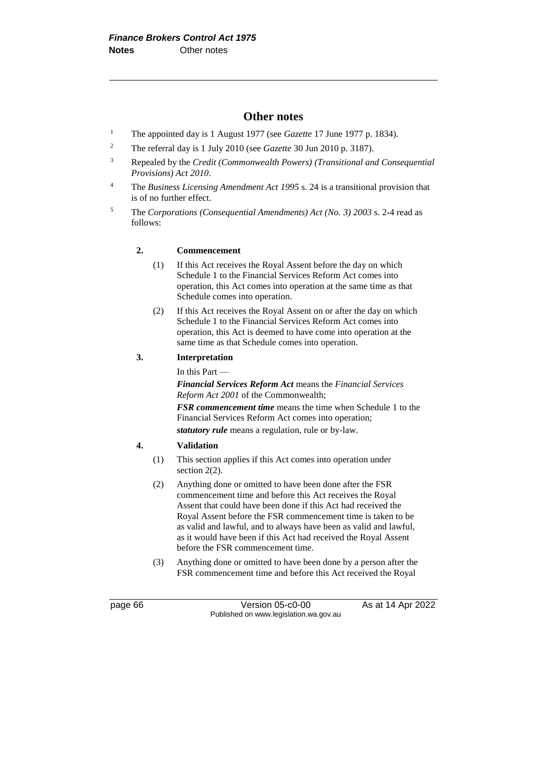### **Other notes**

- <sup>1</sup> The appointed day is 1 August 1977 (see *Gazette* 17 June 1977 p. 1834).
- <sup>2</sup> The referral day is 1 July 2010 (see *Gazette* 30 Jun 2010 p. 3187).
- <sup>3</sup> Repealed by the *Credit (Commonwealth Powers) (Transitional and Consequential Provisions) Act 2010*.
- <sup>4</sup> The *Business Licensing Amendment Act 1995* s. 24 is a transitional provision that is of no further effect.
- <sup>5</sup> The *Corporations (Consequential Amendments) Act (No. 3) 2003* s. 2-4 read as follows:

#### **2. Commencement**

- (1) If this Act receives the Royal Assent before the day on which Schedule 1 to the Financial Services Reform Act comes into operation, this Act comes into operation at the same time as that Schedule comes into operation.
- (2) If this Act receives the Royal Assent on or after the day on which Schedule 1 to the Financial Services Reform Act comes into operation, this Act is deemed to have come into operation at the same time as that Schedule comes into operation.

#### **3. Interpretation**

In this Part —

*Financial Services Reform Act* means the *Financial Services Reform Act 2001* of the Commonwealth;

*FSR commencement time* means the time when Schedule 1 to the Financial Services Reform Act comes into operation; *statutory rule* means a regulation, rule or by-law.

#### **4. Validation**

- (1) This section applies if this Act comes into operation under section 2(2).
- (2) Anything done or omitted to have been done after the FSR commencement time and before this Act receives the Royal Assent that could have been done if this Act had received the Royal Assent before the FSR commencement time is taken to be as valid and lawful, and to always have been as valid and lawful, as it would have been if this Act had received the Royal Assent before the FSR commencement time.
- (3) Anything done or omitted to have been done by a person after the FSR commencement time and before this Act received the Royal

page 66 Version 05-c0-00 As at 14 Apr 2022 Published on www.legislation.wa.gov.au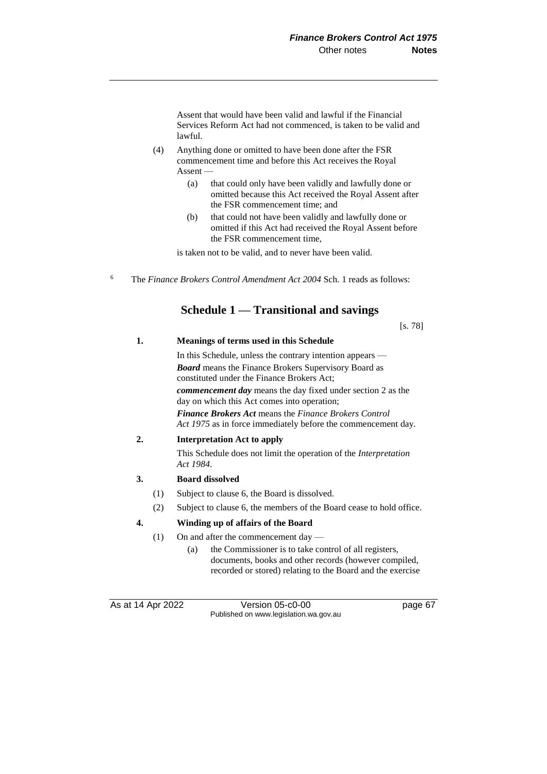Assent that would have been valid and lawful if the Financial Services Reform Act had not commenced, is taken to be valid and lawful.

- (4) Anything done or omitted to have been done after the FSR commencement time and before this Act receives the Royal Assent —
	- (a) that could only have been validly and lawfully done or omitted because this Act received the Royal Assent after the FSR commencement time; and
	- (b) that could not have been validly and lawfully done or omitted if this Act had received the Royal Assent before the FSR commencement time,

is taken not to be valid, and to never have been valid.

<sup>6</sup> The *Finance Brokers Control Amendment Act 2004* Sch. 1 reads as follows:

## **Schedule 1 — Transitional and savings**

[s. 78]

## **1. Meanings of terms used in this Schedule**

In this Schedule, unless the contrary intention appears — *Board* means the Finance Brokers Supervisory Board as constituted under the Finance Brokers Act; *commencement day* means the day fixed under section 2 as the day on which this Act comes into operation; *Finance Brokers Act* means the *Finance Brokers Control Act 1975* as in force immediately before the commencement day.

## **2. Interpretation Act to apply**

This Schedule does not limit the operation of the *Interpretation Act 1984*.

## **3. Board dissolved**

- (1) Subject to clause 6, the Board is dissolved.
- (2) Subject to clause 6, the members of the Board cease to hold office.

## **4. Winding up of affairs of the Board**

- (1) On and after the commencement day
	- (a) the Commissioner is to take control of all registers, documents, books and other records (however compiled, recorded or stored) relating to the Board and the exercise

As at 14 Apr 2022 Version 05-c0-00 Published on www.legislation.wa.gov.au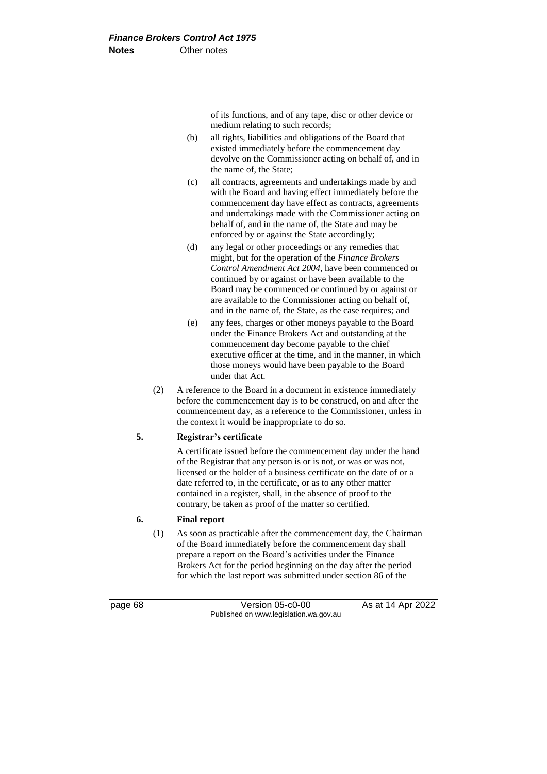of its functions, and of any tape, disc or other device or medium relating to such records;

- (b) all rights, liabilities and obligations of the Board that existed immediately before the commencement day devolve on the Commissioner acting on behalf of, and in the name of, the State;
- (c) all contracts, agreements and undertakings made by and with the Board and having effect immediately before the commencement day have effect as contracts, agreements and undertakings made with the Commissioner acting on behalf of, and in the name of, the State and may be enforced by or against the State accordingly;
- (d) any legal or other proceedings or any remedies that might, but for the operation of the *Finance Brokers Control Amendment Act 2004*, have been commenced or continued by or against or have been available to the Board may be commenced or continued by or against or are available to the Commissioner acting on behalf of, and in the name of, the State, as the case requires; and
- (e) any fees, charges or other moneys payable to the Board under the Finance Brokers Act and outstanding at the commencement day become payable to the chief executive officer at the time, and in the manner, in which those moneys would have been payable to the Board under that Act.
- (2) A reference to the Board in a document in existence immediately before the commencement day is to be construed, on and after the commencement day, as a reference to the Commissioner, unless in the context it would be inappropriate to do so.

## **5. Registrar's certificate**

A certificate issued before the commencement day under the hand of the Registrar that any person is or is not, or was or was not, licensed or the holder of a business certificate on the date of or a date referred to, in the certificate, or as to any other matter contained in a register, shall, in the absence of proof to the contrary, be taken as proof of the matter so certified.

#### **6. Final report**

(1) As soon as practicable after the commencement day, the Chairman of the Board immediately before the commencement day shall prepare a report on the Board's activities under the Finance Brokers Act for the period beginning on the day after the period for which the last report was submitted under section 86 of the

page 68 Version 05-c0-00 As at 14 Apr 2022 Published on www.legislation.wa.gov.au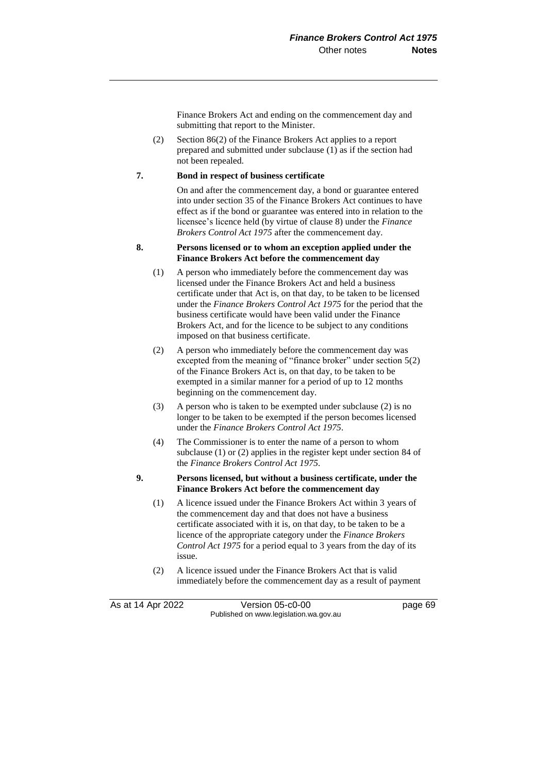Finance Brokers Act and ending on the commencement day and submitting that report to the Minister.

(2) Section 86(2) of the Finance Brokers Act applies to a report prepared and submitted under subclause (1) as if the section had not been repealed.

## **7. Bond in respect of business certificate**

On and after the commencement day, a bond or guarantee entered into under section 35 of the Finance Brokers Act continues to have effect as if the bond or guarantee was entered into in relation to the licensee's licence held (by virtue of clause 8) under the *Finance Brokers Control Act 1975* after the commencement day.

#### **8. Persons licensed or to whom an exception applied under the Finance Brokers Act before the commencement day**

- (1) A person who immediately before the commencement day was licensed under the Finance Brokers Act and held a business certificate under that Act is, on that day, to be taken to be licensed under the *Finance Brokers Control Act 1975* for the period that the business certificate would have been valid under the Finance Brokers Act, and for the licence to be subject to any conditions imposed on that business certificate.
- (2) A person who immediately before the commencement day was excepted from the meaning of "finance broker" under section 5(2) of the Finance Brokers Act is, on that day, to be taken to be exempted in a similar manner for a period of up to 12 months beginning on the commencement day.
- (3) A person who is taken to be exempted under subclause (2) is no longer to be taken to be exempted if the person becomes licensed under the *Finance Brokers Control Act 1975*.
- (4) The Commissioner is to enter the name of a person to whom subclause (1) or (2) applies in the register kept under section 84 of the *Finance Brokers Control Act 1975*.

## **9. Persons licensed, but without a business certificate, under the Finance Brokers Act before the commencement day**

- (1) A licence issued under the Finance Brokers Act within 3 years of the commencement day and that does not have a business certificate associated with it is, on that day, to be taken to be a licence of the appropriate category under the *Finance Brokers Control Act 1975* for a period equal to 3 years from the day of its issue.
- (2) A licence issued under the Finance Brokers Act that is valid immediately before the commencement day as a result of payment

As at 14 Apr 2022 Version 05-c0-00 Published on www.legislation.wa.gov.au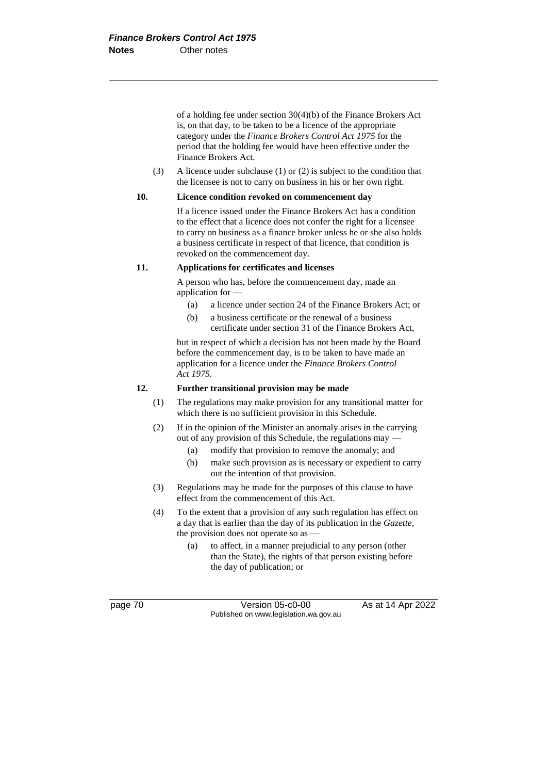of a holding fee under section 30(4)(b) of the Finance Brokers Act is, on that day, to be taken to be a licence of the appropriate category under the *Finance Brokers Control Act 1975* for the period that the holding fee would have been effective under the Finance Brokers Act.

(3) A licence under subclause (1) or (2) is subject to the condition that the licensee is not to carry on business in his or her own right.

#### **10. Licence condition revoked on commencement day**

If a licence issued under the Finance Brokers Act has a condition to the effect that a licence does not confer the right for a licensee to carry on business as a finance broker unless he or she also holds a business certificate in respect of that licence, that condition is revoked on the commencement day.

#### **11. Applications for certificates and licenses**

A person who has, before the commencement day, made an application for —

- (a) a licence under section 24 of the Finance Brokers Act; or
- (b) a business certificate or the renewal of a business certificate under section 31 of the Finance Brokers Act,

but in respect of which a decision has not been made by the Board before the commencement day, is to be taken to have made an application for a licence under the *Finance Brokers Control Act 1975.*

## **12. Further transitional provision may be made**

- (1) The regulations may make provision for any transitional matter for which there is no sufficient provision in this Schedule.
- (2) If in the opinion of the Minister an anomaly arises in the carrying out of any provision of this Schedule, the regulations may —
	- (a) modify that provision to remove the anomaly; and
	- (b) make such provision as is necessary or expedient to carry out the intention of that provision.
- (3) Regulations may be made for the purposes of this clause to have effect from the commencement of this Act.
- (4) To the extent that a provision of any such regulation has effect on a day that is earlier than the day of its publication in the *Gazette*, the provision does not operate so as —
	- (a) to affect, in a manner prejudicial to any person (other than the State), the rights of that person existing before the day of publication; or

page 70 **Version 05-c0-00** As at 14 Apr 2022 Published on www.legislation.wa.gov.au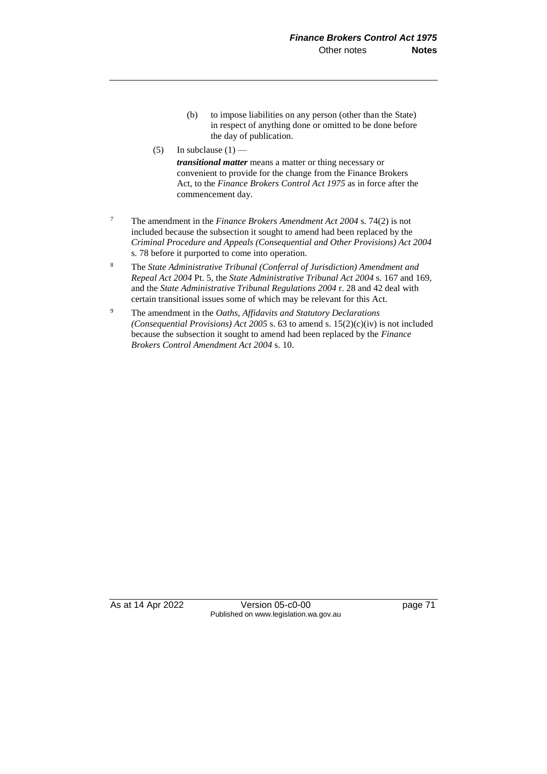- (b) to impose liabilities on any person (other than the State) in respect of anything done or omitted to be done before the day of publication.
- (5) In subclause  $(1)$  —

*transitional matter* means a matter or thing necessary or convenient to provide for the change from the Finance Brokers Act, to the *Finance Brokers Control Act 1975* as in force after the commencement day.

- <sup>7</sup> The amendment in the *Finance Brokers Amendment Act 2004* s. 74(2) is not included because the subsection it sought to amend had been replaced by the *Criminal Procedure and Appeals (Consequential and Other Provisions) Act 2004*  s. 78 before it purported to come into operation.
- <sup>8</sup> The *State Administrative Tribunal (Conferral of Jurisdiction) Amendment and Repeal Act 2004* Pt. 5, the *State Administrative Tribunal Act 2004* s. 167 and 169, and the *State Administrative Tribunal Regulations 2004* r. 28 and 42 deal with certain transitional issues some of which may be relevant for this Act.
- <sup>9</sup> The amendment in the *Oaths, Affidavits and Statutory Declarations (Consequential Provisions) Act 2005* s. 63 to amend s. 15(2)(c)(iv) is not included because the subsection it sought to amend had been replaced by the *Finance Brokers Control Amendment Act 2004* s. 10.

As at 14 Apr 2022 Version 05-c0-00 Page 71 Published on www.legislation.wa.gov.au